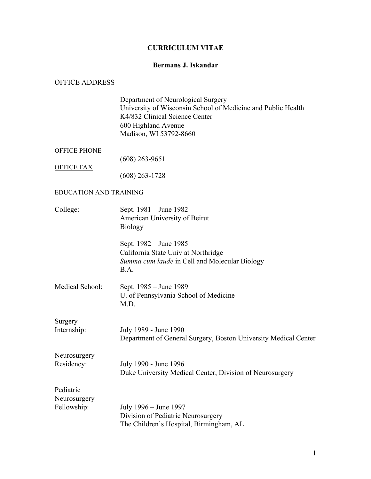#### **CURRICULUM VITAE**

#### **Bermans J. Iskandar**

#### OFFICE ADDRESS

Department of Neurological Surgery University of Wisconsin School of Medicine and Public Health K4/832 Clinical Science Center 600 Highland Avenue Madison, WI 53792-8660

#### OFFICE PHONE

OFFICE FAX

(608) 263-9651

(608) 263-1728

#### EDUCATION AND TRAINING

| College:               | Sept. 1981 – June 1982<br>American University of Beirut<br><b>Biology</b>                                              |
|------------------------|------------------------------------------------------------------------------------------------------------------------|
|                        | Sept. 1982 – June 1985<br>California State Univ at Northridge<br>Summa cum laude in Cell and Molecular Biology<br>B.A. |
| Medical School:        | Sept. 1985 – June 1989<br>U. of Pennsylvania School of Medicine<br>M.D.                                                |
| Surgery<br>Internship: | July 1989 - June 1990<br>Department of General Surgery, Boston University Medical Center                               |
| Neurosurgery           |                                                                                                                        |
| Residency:             | July 1990 - June 1996<br>Duke University Medical Center, Division of Neurosurgery                                      |
| Pediatric              |                                                                                                                        |
| Neurosurgery           |                                                                                                                        |
| Fellowship:            | July 1996 – June 1997<br>Division of Pediatric Neurosurgery<br>The Children's Hospital, Birmingham, AL                 |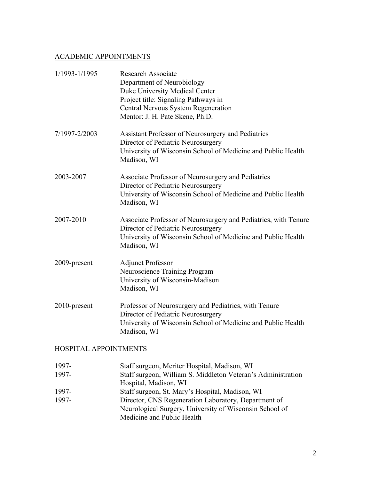### ACADEMIC APPOINTMENTS

| 1/1993-1/1995 | <b>Research Associate</b><br>Department of Neurobiology<br>Duke University Medical Center<br>Project title: Signaling Pathways in<br>Central Nervous System Regeneration<br>Mentor: J. H. Pate Skene, Ph.D. |
|---------------|-------------------------------------------------------------------------------------------------------------------------------------------------------------------------------------------------------------|
| 7/1997-2/2003 | Assistant Professor of Neurosurgery and Pediatrics<br>Director of Pediatric Neurosurgery<br>University of Wisconsin School of Medicine and Public Health<br>Madison, WI                                     |
| 2003-2007     | Associate Professor of Neurosurgery and Pediatrics<br>Director of Pediatric Neurosurgery<br>University of Wisconsin School of Medicine and Public Health<br>Madison, WI                                     |
| 2007-2010     | Associate Professor of Neurosurgery and Pediatrics, with Tenure<br>Director of Pediatric Neurosurgery<br>University of Wisconsin School of Medicine and Public Health<br>Madison, WI                        |
| 2009-present  | <b>Adjunct Professor</b><br>Neuroscience Training Program<br>University of Wisconsin-Madison<br>Madison, WI                                                                                                 |
| 2010-present  | Professor of Neurosurgery and Pediatrics, with Tenure<br>Director of Pediatric Neurosurgery<br>University of Wisconsin School of Medicine and Public Health<br>Madison, WI                                  |

### HOSPITAL APPOINTMENTS

| 1997- | Staff surgeon, Meriter Hospital, Madison, WI                 |
|-------|--------------------------------------------------------------|
| 1997- | Staff surgeon, William S. Middleton Veteran's Administration |
|       | Hospital, Madison, WI                                        |
| 1997- | Staff surgeon, St. Mary's Hospital, Madison, WI              |
| 1997- | Director, CNS Regeneration Laboratory, Department of         |
|       | Neurological Surgery, University of Wisconsin School of      |
|       | Medicine and Public Health                                   |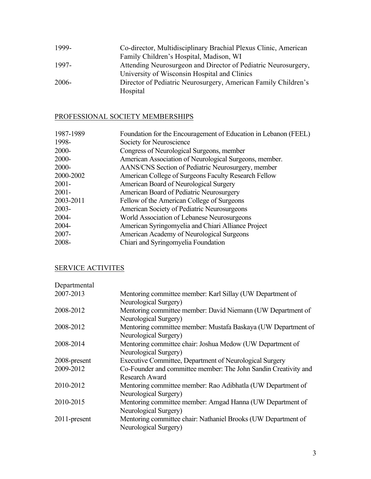| 1999-    | Co-director, Multidisciplinary Brachial Plexus Clinic, American |
|----------|-----------------------------------------------------------------|
|          | Family Children's Hospital, Madison, WI                         |
| 1997-    | Attending Neurosurgeon and Director of Pediatric Neurosurgery,  |
|          | University of Wisconsin Hospital and Clinics                    |
| $2006 -$ | Director of Pediatric Neurosurgery, American Family Children's  |
|          | Hospital                                                        |

### PROFESSIONAL SOCIETY MEMBERSHIPS

| 1987-1989 | Foundation for the Encouragement of Education in Lebanon (FEEL) |
|-----------|-----------------------------------------------------------------|
| 1998-     | Society for Neuroscience                                        |
| $2000 -$  | Congress of Neurological Surgeons, member                       |
| $2000 -$  | American Association of Neurological Surgeons, member.          |
| $2000 -$  | AANS/CNS Section of Pediatric Neurosurgery, member              |
| 2000-2002 | American College of Surgeons Faculty Research Fellow            |
| $2001 -$  | American Board of Neurological Surgery                          |
| $2001 -$  | American Board of Pediatric Neurosurgery                        |
| 2003-2011 | Fellow of the American College of Surgeons                      |
| $2003 -$  | American Society of Pediatric Neurosurgeons                     |
| 2004-     | World Association of Lebanese Neurosurgeons                     |
| 2004-     | American Syringomyelia and Chiari Alliance Project              |
| $2007 -$  | American Academy of Neurological Surgeons                       |
| 2008-     | Chiari and Syringomyelia Foundation                             |
|           |                                                                 |

### SERVICE ACTIVITES

| Departmental |                                                                 |
|--------------|-----------------------------------------------------------------|
| 2007-2013    | Mentoring committee member: Karl Sillay (UW Department of       |
|              | Neurological Surgery)                                           |
| 2008-2012    | Mentoring committee member: David Niemann (UW Department of     |
|              | Neurological Surgery)                                           |
| 2008-2012    | Mentoring committee member: Mustafa Baskaya (UW Department of   |
|              | Neurological Surgery)                                           |
| 2008-2014    | Mentoring committee chair: Joshua Medow (UW Department of       |
|              | Neurological Surgery)                                           |
| 2008-present | Executive Committee, Department of Neurological Surgery         |
| 2009-2012    | Co-Founder and committee member: The John Sandin Creativity and |
|              | <b>Research Award</b>                                           |
| 2010-2012    | Mentoring committee member: Rao Adibhatla (UW Department of     |
|              | Neurological Surgery)                                           |
| 2010-2015    | Mentoring committee member: Amgad Hanna (UW Department of       |
|              | Neurological Surgery)                                           |
| 2011-present | Mentoring committee chair: Nathaniel Brooks (UW Department of   |
|              | Neurological Surgery)                                           |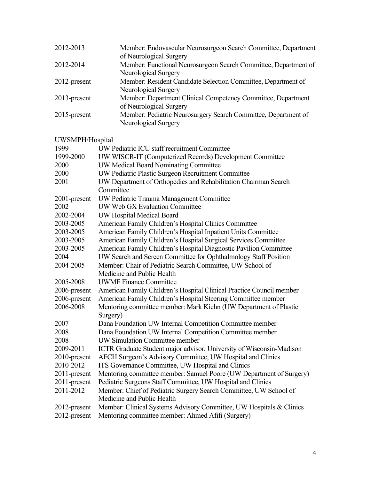| 2012-2013       | Member: Endovascular Neurosurgeon Search Committee, Department<br>of Neurological Surgery |
|-----------------|-------------------------------------------------------------------------------------------|
| 2012-2014       | Member: Functional Neurosurgeon Search Committee, Department of<br>Neurological Surgery   |
| 2012-present    | Member: Resident Candidate Selection Committee, Department of<br>Neurological Surgery     |
| 2013-present    | Member: Department Clinical Competency Committee, Department<br>of Neurological Surgery   |
| $2015$ -present | Member: Pediatric Neurosurgery Search Committee, Department of<br>Neurological Surgery    |

### UWSMPH/Hospital

| 1999         | UW Pediatric ICU staff recruitment Committee                         |
|--------------|----------------------------------------------------------------------|
| 1999-2000    | UW WISCR-IT (Computerized Records) Development Committee             |
| 2000         | <b>UW Medical Board Nominating Committee</b>                         |
| 2000         | UW Pediatric Plastic Surgeon Recruitment Committee                   |
| 2001         | UW Department of Orthopedics and Rehabilitation Chairman Search      |
|              | Committee                                                            |
| 2001-present | UW Pediatric Trauma Management Committee                             |
| 2002         | UW Web GX Evaluation Committee                                       |
| 2002-2004    | UW Hospital Medical Board                                            |
| 2003-2005    | American Family Children's Hospital Clinics Committee                |
| 2003-2005    | American Family Children's Hospital Inpatient Units Committee        |
| 2003-2005    | American Family Children's Hospital Surgical Services Committee      |
| 2003-2005    | American Family Children's Hospital Diagnostic Pavilion Committee    |
| 2004         | UW Search and Screen Committee for Ophthalmology Staff Position      |
| 2004-2005    | Member: Chair of Pediatric Search Committee, UW School of            |
|              | Medicine and Public Health                                           |
| 2005-2008    | <b>UWMF Finance Committee</b>                                        |
| 2006-present | American Family Children's Hospital Clinical Practice Council member |
| 2006-present | American Family Children's Hospital Steering Committee member        |
| 2006-2008    | Mentoring committee member: Mark Kiehn (UW Department of Plastic     |
|              | Surgery)                                                             |
| 2007         | Dana Foundation UW Internal Competition Committee member             |
| 2008         | Dana Foundation UW Internal Competition Committee member             |
| 2008-        | <b>UW Simulation Committee member</b>                                |
| 2009-2011    | ICTR Graduate Student major advisor, University of Wisconsin-Madison |
| 2010-present | AFCH Surgeon's Advisory Committee, UW Hospital and Clinics           |
| 2010-2012    | ITS Governance Committee, UW Hospital and Clinics                    |
| 2011-present | Mentoring committee member: Samuel Poore (UW Department of Surgery)  |
| 2011-present | Pediatric Surgeons Staff Committee, UW Hospital and Clinics          |
| 2011-2012    | Member: Chief of Pediatric Surgery Search Committee, UW School of    |
|              | Medicine and Public Health                                           |
| 2012-present | Member: Clinical Systems Advisory Committee, UW Hospitals & Clinics  |
| 2012-present | Mentoring committee member: Ahmed Afifi (Surgery)                    |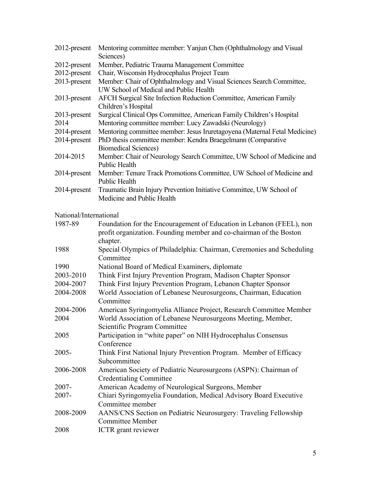| 2012-present           | Mentoring committee member: Yanjun Chen (Ophthalmology and Visual<br>Sciences)                                 |
|------------------------|----------------------------------------------------------------------------------------------------------------|
|                        |                                                                                                                |
| 2012-present           | Member, Pediatric Trauma Management Committee                                                                  |
| 2012-present           | Chair, Wisconsin Hydrocephalus Project Team                                                                    |
| 2013-present           | Member: Chair of Ophthalmology and Visual Sciences Search Committee,<br>UW School of Medical and Public Health |
| 2013-present           | AFCH Surgical Site Infection Reduction Committee, American Family<br>Children's Hospital                       |
| 2013-present           | Surgical Clinical Ops Committee, American Family Children's Hospital                                           |
| 2014                   | Mentoring committee member: Lucy Zawadski (Neurology)                                                          |
| 2014-present           | Mentoring committee member: Jesus Iruretagoyena (Maternal Fetal Medicine)                                      |
| 2014-present           | PhD thesis committee member: Kendra Braegelmann (Comparative                                                   |
|                        | <b>Biomedical Sciences)</b>                                                                                    |
| 2014-2015              | Member: Chair of Neurology Search Committee, UW School of Medicine and<br><b>Public Health</b>                 |
| 2014-present           | Member: Tenure Track Promotions Committee, UW School of Medicine and<br><b>Public Health</b>                   |
| 2014-present           | Traumatic Brain Injury Prevention Initiative Committee, UW School of<br>Medicine and Public Health             |
| National/International |                                                                                                                |
| 1987-89                | Foundation for the Encouragement of Education in Lebanon (FEEL), non                                           |
|                        | profit organization. Founding member and co-chairman of the Boston                                             |
|                        | chapter.                                                                                                       |
| 1988                   | Special Olympics of Philadelphia: Chairman, Ceremonies and Scheduling<br>Committee                             |
| 1990                   | National Board of Medical Examiners, diplomate                                                                 |
| 2003-2010              | Think First Injury Prevention Program, Madison Chapter Sponsor                                                 |
| 2004-2007              | Think First Injury Prevention Program, Lebanon Chapter Sponsor                                                 |
| 2004-2008              | World Association of Lebanese Neurosurgeons, Chairman, Education                                               |
|                        | Committee                                                                                                      |
| 2004-2006              | American Syringomyelia Alliance Project, Research Committee Member                                             |
| 2004                   | World Association of Lebanese Neurosurgeons Meeting, Member,                                                   |
|                        | Scientific Program Committee                                                                                   |
| 2005                   | Participation in "white paper" on NIH Hydrocephalus Consensus                                                  |
|                        | Conference                                                                                                     |
| $2005 -$               | Think First National Injury Prevention Program. Member of Efficacy                                             |
|                        | Subcommittee                                                                                                   |
| 2006-2008              | American Society of Pediatric Neurosurgeons (ASPN): Chairman of                                                |
|                        | <b>Credentialing Committee</b>                                                                                 |
| $2007 -$               | American Academy of Neurological Surgeons, Member                                                              |
| 2007-                  | Chiari Syringomyelia Foundation, Medical Advisory Board Executive                                              |
|                        | Committee member                                                                                               |
| 2008-2009              | AANS/CNS Section on Pediatric Neurosurgery: Traveling Fellowship                                               |
|                        | <b>Committee Member</b>                                                                                        |
| 2008                   | <b>ICTR</b> grant reviewer                                                                                     |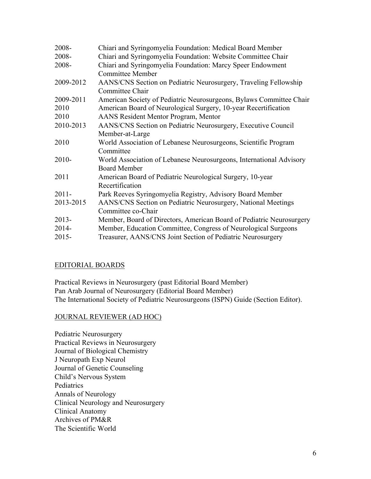| 2008-     | Chiari and Syringomyelia Foundation: Medical Board Member            |
|-----------|----------------------------------------------------------------------|
| 2008-     | Chiari and Syringomyelia Foundation: Website Committee Chair         |
| 2008-     | Chiari and Syringomyelia Foundation: Marcy Speer Endowment           |
|           | <b>Committee Member</b>                                              |
| 2009-2012 | AANS/CNS Section on Pediatric Neurosurgery, Traveling Fellowship     |
|           | Committee Chair                                                      |
| 2009-2011 | American Society of Pediatric Neurosurgeons, Bylaws Committee Chair  |
| 2010      | American Board of Neurological Surgery, 10-year Recertification      |
| 2010      | AANS Resident Mentor Program, Mentor                                 |
| 2010-2013 | AANS/CNS Section on Pediatric Neurosurgery, Executive Council        |
|           | Member-at-Large                                                      |
| 2010      | World Association of Lebanese Neurosurgeons, Scientific Program      |
|           | Committee                                                            |
| $2010 -$  | World Association of Lebanese Neurosurgeons, International Advisory  |
|           | <b>Board Member</b>                                                  |
| 2011      | American Board of Pediatric Neurological Surgery, 10-year            |
|           | Recertification                                                      |
| $2011 -$  | Park Reeves Syringomyelia Registry, Advisory Board Member            |
| 2013-2015 | AANS/CNS Section on Pediatric Neurosurgery, National Meetings        |
|           | Committee co-Chair                                                   |
| $2013 -$  | Member, Board of Directors, American Board of Pediatric Neurosurgery |
| $2014 -$  | Member, Education Committee, Congress of Neurological Surgeons       |
| $2015 -$  | Treasurer, AANS/CNS Joint Section of Pediatric Neurosurgery          |
|           |                                                                      |

### EDITORIAL BOARDS

Practical Reviews in Neurosurgery (past Editorial Board Member) Pan Arab Journal of Neurosurgery (Editorial Board Member) The International Society of Pediatric Neurosurgeons (ISPN) Guide (Section Editor).

### JOURNAL REVIEWER (AD HOC)

Pediatric Neurosurgery Practical Reviews in Neurosurgery Journal of Biological Chemistry J Neuropath Exp Neurol Journal of Genetic Counseling Child's Nervous System **Pediatrics** Annals of Neurology Clinical Neurology and Neurosurgery Clinical Anatomy Archives of PM&R The Scientific World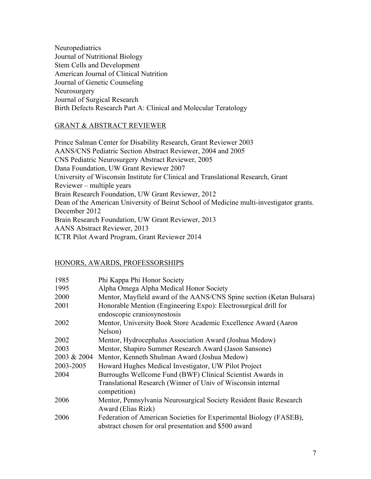Neuropediatrics Journal of Nutritional Biology Stem Cells and Development American Journal of Clinical Nutrition Journal of Genetic Counseling Neurosurgery Journal of Surgical Research Birth Defects Research Part A: Clinical and Molecular Teratology

### GRANT & ABSTRACT REVIEWER

Prince Salman Center for Disability Research, Grant Reviewer 2003 AANS/CNS Pediatric Section Abstract Reviewer, 2004 and 2005 CNS Pediatric Neurosurgery Abstract Reviewer, 2005 Dana Foundation, UW Grant Reviewer 2007 University of Wisconsin Institute for Clinical and Translational Research, Grant Reviewer – multiple years Brain Research Foundation, UW Grant Reviewer, 2012 Dean of the American University of Beirut School of Medicine multi-investigator grants. December 2012 Brain Research Foundation, UW Grant Reviewer, 2013 AANS Abstract Reviewer, 2013 ICTR Pilot Award Program, Grant Reviewer 2014

#### HONORS, AWARDS, PROFESSORSHIPS

| 1985        | Phi Kappa Phi Honor Society                                                                                                 |
|-------------|-----------------------------------------------------------------------------------------------------------------------------|
| 1995        | Alpha Omega Alpha Medical Honor Society                                                                                     |
| 2000        | Mentor, Mayfield award of the AANS/CNS Spine section (Ketan Bulsara)                                                        |
| 2001        | Honorable Mention (Engineering Expo): Electrosurgical drill for<br>endoscopic craniosynostosis                              |
| 2002        | Mentor, University Book Store Academic Excellence Award (Aaron<br>Nelson)                                                   |
| 2002        | Mentor, Hydrocephalus Association Award (Joshua Medow)                                                                      |
| 2003        | Mentor, Shapiro Summer Research Award (Jason Sansone)                                                                       |
| 2003 & 2004 | Mentor, Kenneth Shulman Award (Joshua Medow)                                                                                |
| 2003-2005   | Howard Hughes Medical Investigator, UW Pilot Project                                                                        |
| 2004        | Burroughs Wellcome Fund (BWF) Clinical Scientist Awards in                                                                  |
|             | Translational Research (Winner of Univ of Wisconsin internal<br>competition)                                                |
| 2006        | Mentor, Pennsylvania Neurosurgical Society Resident Basic Research<br>Award (Elias Rizk)                                    |
| 2006        | Federation of American Societies for Experimental Biology (FASEB),<br>abstract chosen for oral presentation and \$500 award |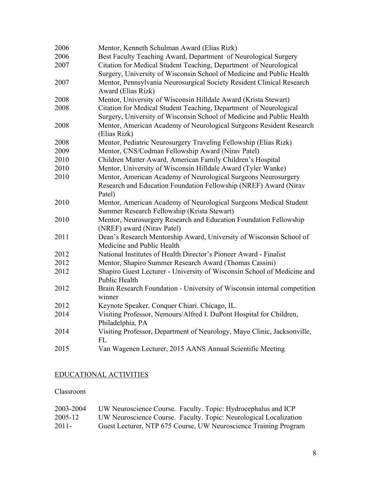| Best Faculty Teaching Award, Department of Neurological Surgery<br>Citation for Medical Student Teaching, Department of Neurological<br>Surgery, University of Wisconsin School of Medicine and Public Health<br>Mentor, Pennsylvania Neurosurgical Society Resident Clinical Research<br>2007<br>Award (Elias Rizk)<br>2008<br>Mentor, University of Wisconsin Hilldale Award (Krista Stewart)<br>2008<br>Citation for Medical Student Teaching, Department of Neurological<br>Surgery, University of Wisconsin School of Medicine and Public Health<br>Mentor, American Academy of Neurological Surgeons Resident Research<br>2008<br>(Elias Rizk)<br>Mentor, Pediatric Neurosurgery Traveling Fellowship (Elias Rizk)<br>Mentor, CNS/Codman Fellowship Award (Nirav Patel)<br>Children Matter Award, American Family Children's Hospital<br>Mentor, University of Wisconsin Hilldale Award (Tyler Wanke)<br>Mentor, American Academy of Neurological Surgeons Neurosurgery<br>Research and Education Foundation Fellowship (NREF) Award (Nirav<br>Patel)<br>2010<br>Mentor, American Academy of Neurological Surgeons Medical Student<br>Summer Research Fellowship (Krista Stewart)<br>Mentor, Neurosurgery Research and Education Foundation Fellowship<br>(NREF) award (Nirav Patel)<br>Dean's Research Mentorship Award, University of Wisconsin School of<br>Medicine and Public Health<br>National Institutes of Health Director's Pioneer Award - Finalist<br>Mentor, Shapiro Summer Research Award (Thomas Cassini)<br>Shapiro Guest Lecturer - University of Wisconsin School of Medicine and<br><b>Public Health</b><br>Brain Research Foundation - University of Wisconsin internal competition<br>2012<br>winner<br>Keynote Speaker. Conquer Chiari. Chicago, IL.<br>Visiting Professor, Nemours/Alfred I. DuPont Hospital for Children,<br>Philadelphia, PA<br>Visiting Professor, Department of Neurology, Mayo Clinic, Jacksonville,<br><b>FL</b><br>Van Wagenen Lecturer, 2015 AANS Annual Scientific Meeting | 2006 | Mentor, Kenneth Schulman Award (Elias Rizk) |
|----------------------------------------------------------------------------------------------------------------------------------------------------------------------------------------------------------------------------------------------------------------------------------------------------------------------------------------------------------------------------------------------------------------------------------------------------------------------------------------------------------------------------------------------------------------------------------------------------------------------------------------------------------------------------------------------------------------------------------------------------------------------------------------------------------------------------------------------------------------------------------------------------------------------------------------------------------------------------------------------------------------------------------------------------------------------------------------------------------------------------------------------------------------------------------------------------------------------------------------------------------------------------------------------------------------------------------------------------------------------------------------------------------------------------------------------------------------------------------------------------------------------------------------------------------------------------------------------------------------------------------------------------------------------------------------------------------------------------------------------------------------------------------------------------------------------------------------------------------------------------------------------------------------------------------------------------------------------------------------------------------------------------------|------|---------------------------------------------|
|                                                                                                                                                                                                                                                                                                                                                                                                                                                                                                                                                                                                                                                                                                                                                                                                                                                                                                                                                                                                                                                                                                                                                                                                                                                                                                                                                                                                                                                                                                                                                                                                                                                                                                                                                                                                                                                                                                                                                                                                                                  | 2006 |                                             |
|                                                                                                                                                                                                                                                                                                                                                                                                                                                                                                                                                                                                                                                                                                                                                                                                                                                                                                                                                                                                                                                                                                                                                                                                                                                                                                                                                                                                                                                                                                                                                                                                                                                                                                                                                                                                                                                                                                                                                                                                                                  | 2007 |                                             |
|                                                                                                                                                                                                                                                                                                                                                                                                                                                                                                                                                                                                                                                                                                                                                                                                                                                                                                                                                                                                                                                                                                                                                                                                                                                                                                                                                                                                                                                                                                                                                                                                                                                                                                                                                                                                                                                                                                                                                                                                                                  |      |                                             |
|                                                                                                                                                                                                                                                                                                                                                                                                                                                                                                                                                                                                                                                                                                                                                                                                                                                                                                                                                                                                                                                                                                                                                                                                                                                                                                                                                                                                                                                                                                                                                                                                                                                                                                                                                                                                                                                                                                                                                                                                                                  |      |                                             |
|                                                                                                                                                                                                                                                                                                                                                                                                                                                                                                                                                                                                                                                                                                                                                                                                                                                                                                                                                                                                                                                                                                                                                                                                                                                                                                                                                                                                                                                                                                                                                                                                                                                                                                                                                                                                                                                                                                                                                                                                                                  |      |                                             |
|                                                                                                                                                                                                                                                                                                                                                                                                                                                                                                                                                                                                                                                                                                                                                                                                                                                                                                                                                                                                                                                                                                                                                                                                                                                                                                                                                                                                                                                                                                                                                                                                                                                                                                                                                                                                                                                                                                                                                                                                                                  |      |                                             |
|                                                                                                                                                                                                                                                                                                                                                                                                                                                                                                                                                                                                                                                                                                                                                                                                                                                                                                                                                                                                                                                                                                                                                                                                                                                                                                                                                                                                                                                                                                                                                                                                                                                                                                                                                                                                                                                                                                                                                                                                                                  |      |                                             |
|                                                                                                                                                                                                                                                                                                                                                                                                                                                                                                                                                                                                                                                                                                                                                                                                                                                                                                                                                                                                                                                                                                                                                                                                                                                                                                                                                                                                                                                                                                                                                                                                                                                                                                                                                                                                                                                                                                                                                                                                                                  |      |                                             |
|                                                                                                                                                                                                                                                                                                                                                                                                                                                                                                                                                                                                                                                                                                                                                                                                                                                                                                                                                                                                                                                                                                                                                                                                                                                                                                                                                                                                                                                                                                                                                                                                                                                                                                                                                                                                                                                                                                                                                                                                                                  |      |                                             |
|                                                                                                                                                                                                                                                                                                                                                                                                                                                                                                                                                                                                                                                                                                                                                                                                                                                                                                                                                                                                                                                                                                                                                                                                                                                                                                                                                                                                                                                                                                                                                                                                                                                                                                                                                                                                                                                                                                                                                                                                                                  | 2008 |                                             |
|                                                                                                                                                                                                                                                                                                                                                                                                                                                                                                                                                                                                                                                                                                                                                                                                                                                                                                                                                                                                                                                                                                                                                                                                                                                                                                                                                                                                                                                                                                                                                                                                                                                                                                                                                                                                                                                                                                                                                                                                                                  | 2009 |                                             |
|                                                                                                                                                                                                                                                                                                                                                                                                                                                                                                                                                                                                                                                                                                                                                                                                                                                                                                                                                                                                                                                                                                                                                                                                                                                                                                                                                                                                                                                                                                                                                                                                                                                                                                                                                                                                                                                                                                                                                                                                                                  | 2010 |                                             |
|                                                                                                                                                                                                                                                                                                                                                                                                                                                                                                                                                                                                                                                                                                                                                                                                                                                                                                                                                                                                                                                                                                                                                                                                                                                                                                                                                                                                                                                                                                                                                                                                                                                                                                                                                                                                                                                                                                                                                                                                                                  | 2010 |                                             |
|                                                                                                                                                                                                                                                                                                                                                                                                                                                                                                                                                                                                                                                                                                                                                                                                                                                                                                                                                                                                                                                                                                                                                                                                                                                                                                                                                                                                                                                                                                                                                                                                                                                                                                                                                                                                                                                                                                                                                                                                                                  | 2010 |                                             |
|                                                                                                                                                                                                                                                                                                                                                                                                                                                                                                                                                                                                                                                                                                                                                                                                                                                                                                                                                                                                                                                                                                                                                                                                                                                                                                                                                                                                                                                                                                                                                                                                                                                                                                                                                                                                                                                                                                                                                                                                                                  |      |                                             |
|                                                                                                                                                                                                                                                                                                                                                                                                                                                                                                                                                                                                                                                                                                                                                                                                                                                                                                                                                                                                                                                                                                                                                                                                                                                                                                                                                                                                                                                                                                                                                                                                                                                                                                                                                                                                                                                                                                                                                                                                                                  |      |                                             |
|                                                                                                                                                                                                                                                                                                                                                                                                                                                                                                                                                                                                                                                                                                                                                                                                                                                                                                                                                                                                                                                                                                                                                                                                                                                                                                                                                                                                                                                                                                                                                                                                                                                                                                                                                                                                                                                                                                                                                                                                                                  |      |                                             |
|                                                                                                                                                                                                                                                                                                                                                                                                                                                                                                                                                                                                                                                                                                                                                                                                                                                                                                                                                                                                                                                                                                                                                                                                                                                                                                                                                                                                                                                                                                                                                                                                                                                                                                                                                                                                                                                                                                                                                                                                                                  | 2010 |                                             |
|                                                                                                                                                                                                                                                                                                                                                                                                                                                                                                                                                                                                                                                                                                                                                                                                                                                                                                                                                                                                                                                                                                                                                                                                                                                                                                                                                                                                                                                                                                                                                                                                                                                                                                                                                                                                                                                                                                                                                                                                                                  |      |                                             |
|                                                                                                                                                                                                                                                                                                                                                                                                                                                                                                                                                                                                                                                                                                                                                                                                                                                                                                                                                                                                                                                                                                                                                                                                                                                                                                                                                                                                                                                                                                                                                                                                                                                                                                                                                                                                                                                                                                                                                                                                                                  | 2011 |                                             |
|                                                                                                                                                                                                                                                                                                                                                                                                                                                                                                                                                                                                                                                                                                                                                                                                                                                                                                                                                                                                                                                                                                                                                                                                                                                                                                                                                                                                                                                                                                                                                                                                                                                                                                                                                                                                                                                                                                                                                                                                                                  |      |                                             |
|                                                                                                                                                                                                                                                                                                                                                                                                                                                                                                                                                                                                                                                                                                                                                                                                                                                                                                                                                                                                                                                                                                                                                                                                                                                                                                                                                                                                                                                                                                                                                                                                                                                                                                                                                                                                                                                                                                                                                                                                                                  | 2012 |                                             |
|                                                                                                                                                                                                                                                                                                                                                                                                                                                                                                                                                                                                                                                                                                                                                                                                                                                                                                                                                                                                                                                                                                                                                                                                                                                                                                                                                                                                                                                                                                                                                                                                                                                                                                                                                                                                                                                                                                                                                                                                                                  | 2012 |                                             |
|                                                                                                                                                                                                                                                                                                                                                                                                                                                                                                                                                                                                                                                                                                                                                                                                                                                                                                                                                                                                                                                                                                                                                                                                                                                                                                                                                                                                                                                                                                                                                                                                                                                                                                                                                                                                                                                                                                                                                                                                                                  | 2012 |                                             |
|                                                                                                                                                                                                                                                                                                                                                                                                                                                                                                                                                                                                                                                                                                                                                                                                                                                                                                                                                                                                                                                                                                                                                                                                                                                                                                                                                                                                                                                                                                                                                                                                                                                                                                                                                                                                                                                                                                                                                                                                                                  |      |                                             |
|                                                                                                                                                                                                                                                                                                                                                                                                                                                                                                                                                                                                                                                                                                                                                                                                                                                                                                                                                                                                                                                                                                                                                                                                                                                                                                                                                                                                                                                                                                                                                                                                                                                                                                                                                                                                                                                                                                                                                                                                                                  |      |                                             |
|                                                                                                                                                                                                                                                                                                                                                                                                                                                                                                                                                                                                                                                                                                                                                                                                                                                                                                                                                                                                                                                                                                                                                                                                                                                                                                                                                                                                                                                                                                                                                                                                                                                                                                                                                                                                                                                                                                                                                                                                                                  | 2012 |                                             |
|                                                                                                                                                                                                                                                                                                                                                                                                                                                                                                                                                                                                                                                                                                                                                                                                                                                                                                                                                                                                                                                                                                                                                                                                                                                                                                                                                                                                                                                                                                                                                                                                                                                                                                                                                                                                                                                                                                                                                                                                                                  | 2014 |                                             |
|                                                                                                                                                                                                                                                                                                                                                                                                                                                                                                                                                                                                                                                                                                                                                                                                                                                                                                                                                                                                                                                                                                                                                                                                                                                                                                                                                                                                                                                                                                                                                                                                                                                                                                                                                                                                                                                                                                                                                                                                                                  |      |                                             |
|                                                                                                                                                                                                                                                                                                                                                                                                                                                                                                                                                                                                                                                                                                                                                                                                                                                                                                                                                                                                                                                                                                                                                                                                                                                                                                                                                                                                                                                                                                                                                                                                                                                                                                                                                                                                                                                                                                                                                                                                                                  | 2014 |                                             |
|                                                                                                                                                                                                                                                                                                                                                                                                                                                                                                                                                                                                                                                                                                                                                                                                                                                                                                                                                                                                                                                                                                                                                                                                                                                                                                                                                                                                                                                                                                                                                                                                                                                                                                                                                                                                                                                                                                                                                                                                                                  | 2015 |                                             |

# EDUCATIONAL ACTIVITIES

# Classroom

| 2003-2004 | UW Neuroscience Course. Faculty. Topic: Hydrocephalus and ICP     |
|-----------|-------------------------------------------------------------------|
| 2005-12   | UW Neuroscience Course. Faculty. Topic: Neurological Localization |
| 2011-     | Guest Lecturer, NTP 675 Course, UW Neuroscience Training Program  |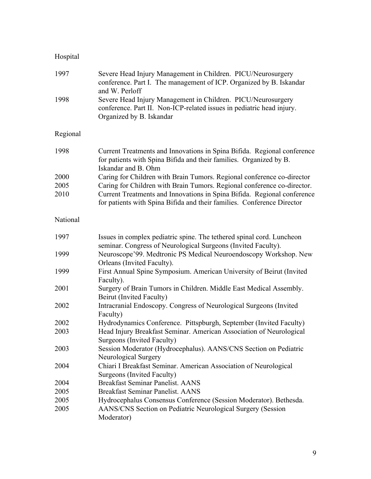# Hospital

| 1997     | Severe Head Injury Management in Children. PICU/Neurosurgery<br>conference. Part I. The management of ICP. Organized by B. Iskandar<br>and W. Perloff                |
|----------|----------------------------------------------------------------------------------------------------------------------------------------------------------------------|
| 1998     | Severe Head Injury Management in Children. PICU/Neurosurgery<br>conference. Part II. Non-ICP-related issues in pediatric head injury.<br>Organized by B. Iskandar    |
| Regional |                                                                                                                                                                      |
| 1998     | Current Treatments and Innovations in Spina Bifida. Regional conference<br>for patients with Spina Bifida and their families. Organized by B.<br>Iskandar and B. Ohm |
| 2000     | Caring for Children with Brain Tumors. Regional conference co-director                                                                                               |
| 2005     | Caring for Children with Brain Tumors. Regional conference co-director.                                                                                              |
| 2010     | Current Treatments and Innovations in Spina Bifida. Regional conference<br>for patients with Spina Bifida and their families. Conference Director                    |
| National |                                                                                                                                                                      |
| 1997     | Issues in complex pediatric spine. The tethered spinal cord. Luncheon<br>seminar. Congress of Neurological Surgeons (Invited Faculty).                               |
| 1999     | Neuroscope'99. Medtronic PS Medical Neuroendoscopy Workshop. New<br>Orleans (Invited Faculty).                                                                       |
| 1999     | First Annual Spine Symposium. American University of Beirut (Invited<br>Faculty).                                                                                    |
| 2001     | Surgery of Brain Tumors in Children. Middle East Medical Assembly.<br>Beirut (Invited Faculty)                                                                       |
| 2002     | Intracranial Endoscopy. Congress of Neurological Surgeons (Invited<br>Faculty)                                                                                       |
| 2002     | Hydrodynamics Conference. Pittspburgh, September (Invited Faculty)                                                                                                   |
| 2003     | Head Injury Breakfast Seminar. American Association of Neurological<br>Surgeons (Invited Faculty)                                                                    |
| 2003     | Session Moderator (Hydrocephalus). AANS/CNS Section on Pediatric<br>Neurological Surgery                                                                             |
| 2004     | Chiari I Breakfast Seminar. American Association of Neurological<br>Surgeons (Invited Faculty)                                                                       |
| 2004     | Breakfast Seminar Panelist. AANS                                                                                                                                     |
| 2005     | <b>Breakfast Seminar Panelist. AANS</b>                                                                                                                              |
| 2005     | Hydrocephalus Consensus Conference (Session Moderator). Bethesda.                                                                                                    |
| 2005     | AANS/CNS Section on Pediatric Neurological Surgery (Session<br>Moderator)                                                                                            |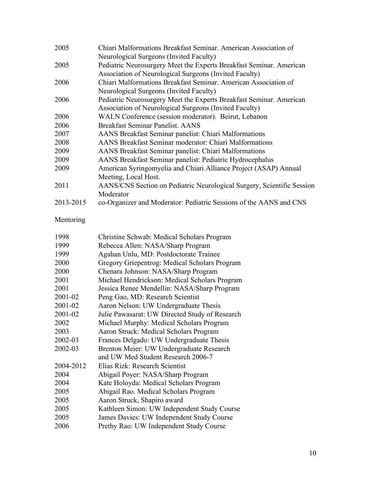| 2005      | Chiari Malformations Breakfast Seminar, American Association of        |
|-----------|------------------------------------------------------------------------|
|           | Neurological Surgeons (Invited Faculty)                                |
| 2005      | Pediatric Neurosurgery Meet the Experts Breakfast Seminar. American    |
|           | Association of Neurological Surgeons (Invited Faculty)                 |
| 2006      | Chiari Malformations Breakfast Seminar, American Association of        |
|           | Neurological Surgeons (Invited Faculty)                                |
| 2006      | Pediatric Neurosurgery Meet the Experts Breakfast Seminar. American    |
|           | Association of Neurological Surgeons (Invited Faculty)                 |
| 2006      | WALN Conference (session moderator). Beirut, Lebanon                   |
| 2006      | <b>Breakfast Seminar Panelist, AANS</b>                                |
| 2007      | AANS Breakfast Seminar panelist: Chiari Malformations                  |
| 2008      | AANS Breakfast Seminar moderator: Chiari Malformations                 |
| 2009      | AANS Breakfast Seminar panelist: Chiari Malformations                  |
| 2009      | AANS Breakfast Seminar panelist: Pediatric Hydrocephalus               |
| 2009      | American Syringomyelia and Chiari Alliance Project (ASAP) Annual       |
|           | Meeting, Local Host.                                                   |
| 2011      | AANS/CNS Section on Pediatric Neurological Surgery, Scientific Session |
|           | Moderator                                                              |
| 2013-2015 | co-Organizer and Moderator: Pediatric Sessions of the AANS and CNS     |

# Mentoring

| 1998      | Christine Schwab: Medical Scholars Program     |
|-----------|------------------------------------------------|
| 1999      | Rebecca Allen: NASA/Sharp Program              |
| 1999      | Agahan Unlu, MD: Postdoctorate Trainee         |
| 2000      | Gregory Griepentrog: Medical Scholars Program  |
| 2000      | Chenara Johnson: NASA/Sharp Program            |
| 2001      | Michael Hendrickson: Medical Scholars Program  |
| 2001      | Jessica Renee Mendellin: NASA/Sharp Program    |
| 2001-02   | Peng Gao, MD: Research Scientist               |
| 2001-02   | Aaron Nelson: UW Undergraduate Thesis          |
| 2001-02   | Julie Pawasarat: UW Directed Study of Research |
| 2002      | Michael Murphy: Medical Scholars Program       |
| 2003      | Aaron Struck: Medical Scholars Program         |
| 2002-03   | Frances Delgado: UW Undergraduate Thesis       |
| 2002-03   | Brenton Meier: UW Undergraduate Research       |
|           | and UW Med Student Research 2006-7             |
| 2004-2012 | Elias Rizk: Research Scientist                 |
| 2004      | Abigail Poyer: NASA/Sharp Program              |
| 2004      | Kate Holoyda: Medical Scholars Program         |
| 2005      | Abigail Rao. Medical Scholars Program          |
| 2005      | Aaron Struck, Shapiro award                    |
| 2005      | Kathleen Simon: UW Independent Study Course    |
| 2005      | James Davies: UW Independent Study Course      |
| 2006      | Prethy Rao: UW Independent Study Course        |
|           |                                                |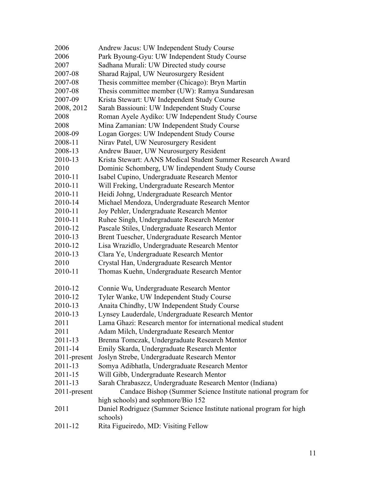| 2006         | Andrew Jacus: UW Independent Study Course                            |
|--------------|----------------------------------------------------------------------|
| 2006         | Park Byoung-Gyu: UW Independent Study Course                         |
| 2007         | Sadhana Murali: UW Directed study course                             |
| 2007-08      | Sharad Rajpal, UW Neurosurgery Resident                              |
| 2007-08      | Thesis committee member (Chicago): Bryn Martin                       |
| 2007-08      | Thesis committee member (UW): Ramya Sundaresan                       |
| 2007-09      | Krista Stewart: UW Independent Study Course                          |
| 2008, 2012   | Sarah Bassiouni: UW Independent Study Course                         |
| 2008         | Roman Ayele Aydiko: UW Independent Study Course                      |
| 2008         | Mina Zamanian: UW Independent Study Course                           |
| 2008-09      | Logan Gorges: UW Independent Study Course                            |
| 2008-11      | Nirav Patel, UW Neurosurgery Resident                                |
| 2008-13      | Andrew Bauer, UW Neurosurgery Resident                               |
| 2010-13      | Krista Stewart: AANS Medical Student Summer Research Award           |
| 2010         | Dominic Schomberg, UW Iindependent Study Course                      |
| 2010-11      | Isabel Cupino, Undergraduate Research Mentor                         |
| 2010-11      | Will Freking, Undergraduate Research Mentor                          |
| 2010-11      | Heidi Johng, Undergraduate Research Mentor                           |
| 2010-14      | Michael Mendoza, Undergraduate Research Mentor                       |
| 2010-11      | Joy Pehler, Undergraduate Research Mentor                            |
| 2010-11      | Ruhee Singh, Undergraduate Research Mentor                           |
| 2010-12      | Pascale Stiles, Undergraduate Research Mentor                        |
| 2010-13      | Brent Tuescher, Undergraduate Research Mentor                        |
| 2010-12      | Lisa Wrazidlo, Undergraduate Research Mentor                         |
| 2010-13      | Clara Ye, Undergraduate Research Mentor                              |
| 2010         | Crystal Han, Undergraduate Research Mentor                           |
| 2010-11      | Thomas Kuehn, Undergraduate Research Mentor                          |
|              |                                                                      |
| 2010-12      | Connie Wu, Undergraduate Research Mentor                             |
| 2010-12      | Tyler Wanke, UW Independent Study Course                             |
| 2010-13      | Anaita Chindhy, UW Independent Study Course                          |
| 2010-13      | Lynsey Lauderdale, Undergraduate Research Mentor                     |
| 2011         | Lama Ghazi: Research mentor for international medical student        |
| 2011         | Adam Milch, Undergraduate Research Mentor                            |
| 2011-13      | Brenna Tomczak, Undergraduate Research Mentor                        |
| 2011-14      | Emily Skarda, Undergraduate Research Mentor                          |
| 2011-present | Joslyn Strebe, Undergraduate Research Mentor                         |
| 2011-13      | Somya Adibhatla, Undergraduate Research Mentor                       |
| 2011-15      | Will Gibb, Undergraduate Research Mentor                             |
| 2011-13      | Sarah Chrabaszcz, Undergraduate Research Mentor (Indiana)            |
| 2011-present | Candace Bishop (Summer Science Institute national program for        |
|              | high schools) and sophmore/Bio 152                                   |
| 2011         | Daniel Rodriguez (Summer Science Institute national program for high |
|              | schools)                                                             |
| 2011-12      | Rita Figueiredo, MD: Visiting Fellow                                 |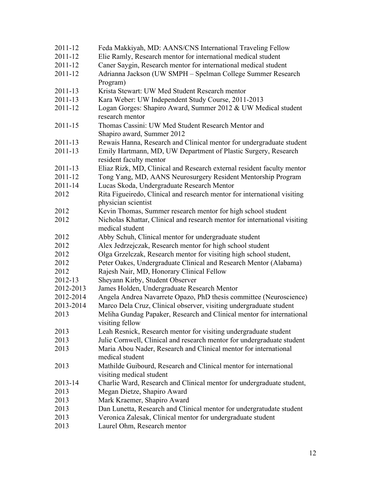| 2011-12     | Feda Makkiyah, MD: AANS/CNS International Traveling Fellow                |
|-------------|---------------------------------------------------------------------------|
| 2011-12     | Elie Ramly, Research mentor for international medical student             |
| 2011-12     | Caner Saygin, Research mentor for international medical student           |
| 2011-12     | Adrianna Jackson (UW SMPH - Spelman College Summer Research               |
|             | Program)                                                                  |
| 2011-13     | Krista Stewart: UW Med Student Research mentor                            |
| 2011-13     | Kara Weber: UW Independent Study Course, 2011-2013                        |
| 2011-12     | Logan Gorges: Shapiro Award, Summer 2012 & UW Medical student             |
|             | research mentor                                                           |
| $2011 - 15$ | Thomas Cassini: UW Med Student Research Mentor and                        |
|             | Shapiro award, Summer 2012                                                |
| 2011-13     | Rewais Hanna, Research and Clinical mentor for undergraduate student      |
| 2011-13     | Emily Hartmann, MD, UW Department of Plastic Surgery, Research            |
|             | resident faculty mentor                                                   |
| 2011-13     | Eliaz Rizk, MD, Clinical and Research external resident faculty mentor    |
| 2011-12     | Tong Yang, MD, AANS Neurosurgery Resident Mentorship Program              |
| $2011 - 14$ | Lucas Skoda, Undergraduate Research Mentor                                |
| 2012        | Rita Figueiredo, Clinical and research mentor for international visiting  |
|             | physician scientist                                                       |
| 2012        | Kevin Thomas, Summer research mentor for high school student              |
| 2012        | Nicholas Khattar, Clinical and research mentor for international visiting |
|             | medical student                                                           |
| 2012        | Abby Schuh, Clinical mentor for undergraduate student                     |
| 2012        | Alex Jedrzejczak, Research mentor for high school student                 |
| 2012        | Olga Grzelczak, Research mentor for visiting high school student,         |
| 2012        | Peter Oakes, Undergraduate Clinical and Research Mentor (Alabama)         |
| 2012        | Rajesh Nair, MD, Honorary Clinical Fellow                                 |
| 2012-13     | Sheyann Kirby, Student Observer                                           |
| 2012-2013   | James Holden, Undergraduate Research Mentor                               |
| 2012-2014   | Angela Andrea Navarrete Opazo, PhD thesis committee (Neuroscience)        |
| 2013-2014   | Marco Dela Cruz, Clinical observer, visiting undergraduate student        |
| 2013        | Meliha Gundag Papaker, Research and Clinical mentor for international     |
|             | visiting fellow                                                           |
| 2013        | Leah Resnick, Research mentor for visiting undergraduate student          |
| 2013        | Julie Cornwell, Clinical and research mentor for undergraduate student    |
| 2013        | Maria Abou Nader, Research and Clinical mentor for international          |
|             | medical student                                                           |
| 2013        | Mathilde Guibourd, Research and Clinical mentor for international         |
|             | visiting medical student                                                  |
| 2013-14     | Charlie Ward, Research and Clinical mentor for undergraduate student,     |
| 2013        | Megan Dietze, Shapiro Award                                               |
| 2013        | Mark Kraemer, Shapiro Award                                               |
| 2013        | Dan Lunetta, Research and Clinical mentor for undergratudate student      |
| 2013        | Veronica Zalesak, Clinical mentor for undergraduate student               |
| 2013        | Laurel Ohm, Research mentor                                               |
|             |                                                                           |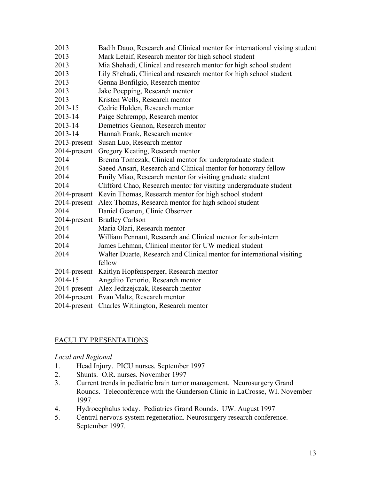| Badih Dauo, Research and Clinical mentor for international visitng student |
|----------------------------------------------------------------------------|
| Mark Letaif, Research mentor for high school student                       |
| Mia Shehadi, Clinical and research mentor for high school student          |
| Lily Shehadi, Clinical and research mentor for high school student         |
| Genna Bonfilgio, Research mentor                                           |
| Jake Poepping, Research mentor                                             |
| Kristen Wells, Research mentor                                             |
| Cedric Holden, Research mentor                                             |
| Paige Schrempp, Research mentor                                            |
| Demetrios Geanon, Research mentor                                          |
| Hannah Frank, Research mentor                                              |
| Susan Luo, Research mentor                                                 |
| Gregory Keating, Research mentor                                           |
| Brenna Tomczak, Clinical mentor for undergraduate student                  |
| Saeed Ansari, Research and Clinical mentor for honorary fellow             |
| Emily Miao, Research mentor for visiting graduate student                  |
| Clifford Chao, Research mentor for visiting undergraduate student          |
| Kevin Thomas, Research mentor for high school student<br>$2014$ -present   |
| $2014$ -present<br>Alex Thomas, Research mentor for high school student    |
| Daniel Geanon, Clinic Observer                                             |
| <b>Bradley Carlson</b>                                                     |
| Maria Olari, Research mentor                                               |
| William Pennant, Research and Clinical mentor for sub-intern               |
| James Lehman, Clinical mentor for UW medical student                       |
| Walter Duarte, Research and Clinical mentor for international visiting     |
| fellow                                                                     |
| Kaitlyn Hopfensperger, Research mentor                                     |
| Angelito Tenorio, Research mentor                                          |
| 2014-present Alex Jedrzejczak, Research mentor                             |
| Evan Maltz, Research mentor                                                |
| Charles Withington, Research mentor                                        |
|                                                                            |

### FACULTY PRESENTATIONS

### *Local and Regional*

- 1. Head Injury. PICU nurses. September 1997
- 2. Shunts. O.R. nurses. November 1997
- 3. Current trends in pediatric brain tumor management. Neurosurgery Grand Rounds. Teleconference with the Gunderson Clinic in LaCrosse, WI. November 1997.
- 4. Hydrocephalus today. Pediatrics Grand Rounds. UW. August 1997
- 5. Central nervous system regeneration. Neurosurgery research conference. September 1997.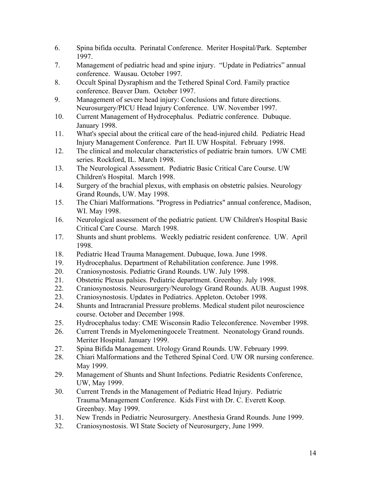- 6. Spina bifida occulta. Perinatal Conference. Meriter Hospital/Park. September 1997.
- 7. Management of pediatric head and spine injury. "Update in Pediatrics" annual conference. Wausau. October 1997.
- 8. Occult Spinal Dysraphism and the Tethered Spinal Cord. Family practice conference. Beaver Dam. October 1997.
- 9. Management of severe head injury: Conclusions and future directions. Neurosurgery/PICU Head Injury Conference. UW. November 1997.
- 10. Current Management of Hydrocephalus. Pediatric conference. Dubuque. January 1998.
- 11. What's special about the critical care of the head-injured child. Pediatric Head Injury Management Conference. Part II. UW Hospital. February 1998.
- 12. The clinical and molecular characteristics of pediatric brain tumors. UW CME series. Rockford, IL. March 1998.
- 13. The Neurological Assessment. Pediatric Basic Critical Care Course. UW Children's Hospital. March 1998.
- 14. Surgery of the brachial plexus, with emphasis on obstetric palsies. Neurology Grand Rounds, UW. May 1998.
- 15. The Chiari Malformations. "Progress in Pediatrics" annual conference, Madison, WI. May 1998.
- 16. Neurological assessment of the pediatric patient. UW Children's Hospital Basic Critical Care Course. March 1998.
- 17. Shunts and shunt problems. Weekly pediatric resident conference. UW. April 1998.
- 18. Pediatric Head Trauma Management. Dubuque, Iowa. June 1998.
- 19. Hydrocephalus. Department of Rehabilitation conference. June 1998.
- 20. Craniosynostosis. Pediatric Grand Rounds. UW. July 1998.
- 21. Obstetric Plexus palsies. Pediatric department. Greenbay. July 1998.
- 22. Craniosynostosis. Neurosurgery/Neurology Grand Rounds. AUB. August 1998.
- 23. Craniosynostosis. Updates in Pediatrics. Appleton. October 1998.
- 24. Shunts and Intracranial Pressure problems. Medical student pilot neuroscience course. October and December 1998.
- 25. Hydrocephalus today: CME Wisconsin Radio Teleconference. November 1998.
- 26. Current Trends in Myelomeningocele Treatment. Neonatology Grand rounds. Meriter Hospital. January 1999.
- 27. Spina Bifida Management. Urology Grand Rounds. UW. February 1999.
- 28. Chiari Malformations and the Tethered Spinal Cord. UW OR nursing conference. May 1999.
- 29. Management of Shunts and Shunt Infections. Pediatric Residents Conference, UW, May 1999.
- 30. Current Trends in the Management of Pediatric Head Injury. Pediatric Trauma/Management Conference. Kids First with Dr. C. Everett Koop. Greenbay. May 1999.
- 31. New Trends in Pediatric Neurosurgery. Anesthesia Grand Rounds. June 1999.
- 32. Craniosynostosis. WI State Society of Neurosurgery, June 1999.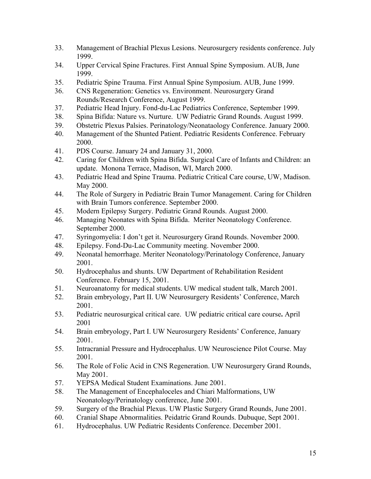- 33. Management of Brachial Plexus Lesions. Neurosurgery residents conference. July 1999.
- 34. Upper Cervical Spine Fractures. First Annual Spine Symposium. AUB, June 1999.
- 35. Pediatric Spine Trauma. First Annual Spine Symposium. AUB, June 1999.
- 36. CNS Regeneration: Genetics vs. Environment. Neurosurgery Grand Rounds/Research Conference, August 1999.
- 37. Pediatric Head Injury. Fond-du-Lac Pediatrics Conference, September 1999.
- 38. Spina Bifida: Nature vs. Nurture. UW Pediatric Grand Rounds. August 1999.
- 39. Obstetric Plexus Palsies. Perinatology/Neonataology Conference. January 2000.
- 40. Management of the Shunted Patient. Pediatric Residents Conference. February 2000.
- 41. PDS Course. January 24 and January 31, 2000.
- 42. Caring for Children with Spina Bifida. Surgical Care of Infants and Children: an update. Monona Terrace, Madison, WI, March 2000.
- 43. Pediatric Head and Spine Trauma. Pediatric Critical Care course, UW, Madison. May 2000.
- 44. The Role of Surgery in Pediatric Brain Tumor Management. Caring for Children with Brain Tumors conference. September 2000.
- 45. Modern Epilepsy Surgery. Pediatric Grand Rounds. August 2000.
- 46. Managing Neonates with Spina Bifida. Meriter Neonatology Conference. September 2000.
- 47. Syringomyelia: I don't get it. Neurosurgery Grand Rounds. November 2000.
- 48. Epilepsy. Fond-Du-Lac Community meeting. November 2000.
- 49. Neonatal hemorrhage. Meriter Neonatology/Perinatology Conference, January 2001.
- 50. Hydrocephalus and shunts. UW Department of Rehabilitation Resident Conference. February 15, 2001.
- 51. Neuroanatomy for medical students. UW medical student talk, March 2001.
- 52. Brain embryology, Part II. UW Neurosurgery Residents' Conference, March 2001.
- 53. Pediatric neurosurgical critical care.UW pediatric critical care course**.** April 2001
- 54. Brain embryology, Part I. UW Neurosurgery Residents' Conference, January 2001.
- 55. Intracranial Pressure and Hydrocephalus. UW Neuroscience Pilot Course. May 2001.
- 56. The Role of Folic Acid in CNS Regeneration. UW Neurosurgery Grand Rounds, May 2001.
- 57. YEPSA Medical Student Examinations. June 2001.
- 58. The Management of Encephaloceles and Chiari Malformations, UW Neonatology/Perinatology conference, June 2001.
- 59. Surgery of the Brachial Plexus. UW Plastic Surgery Grand Rounds, June 2001.
- 60. Cranial Shape Abnormalities. Peidatric Grand Rounds. Dubuque, Sept 2001.
- 61. Hydrocephalus. UW Pediatric Residents Conference. December 2001.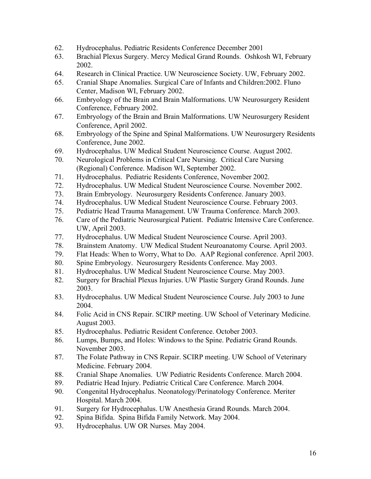- 62. Hydrocephalus. Pediatric Residents Conference December 2001
- 63. Brachial Plexus Surgery. Mercy Medical Grand Rounds. Oshkosh WI, February 2002.
- 64. Research in Clinical Practice. UW Neuroscience Society. UW, February 2002.
- 65. Cranial Shape Anomalies. Surgical Care of Infants and Children:2002. Fluno Center, Madison WI, February 2002.
- 66. Embryology of the Brain and Brain Malformations. UW Neurosurgery Resident Conference, February 2002.
- 67. Embryology of the Brain and Brain Malformations. UW Neurosurgery Resident Conference, April 2002.
- 68. Embryology of the Spine and Spinal Malformations. UW Neurosurgery Residents Conference, June 2002.
- 69. Hydrocephalus. UW Medical Student Neuroscience Course. August 2002.
- 70. Neurological Problems in Critical Care Nursing. Critical Care Nursing (Regional) Conference. Madison WI, September 2002.
- 71. Hydrocephalus. Pediatric Residents Conference, November 2002.
- 72. Hydrocephalus. UW Medical Student Neuroscience Course. November 2002.
- 73. Brain Embryology. Neurosurgery Residents Conference. January 2003.
- 74. Hydrocephalus. UW Medical Student Neuroscience Course. February 2003.
- 75. Pediatric Head Trauma Management. UW Trauma Conference. March 2003.
- 76. Care of the Pediatric Neurosurgical Patient. Pediatric Intensive Care Conference. UW, April 2003.
- 77. Hydrocephalus. UW Medical Student Neuroscience Course. April 2003.
- 78. Brainstem Anatomy. UW Medical Student Neuroanatomy Course. April 2003.
- 79. Flat Heads: When to Worry, What to Do. AAP Regional conference. April 2003.
- 80. Spine Embryology. Neurosurgery Residents Conference. May 2003.
- 81. Hydrocephalus. UW Medical Student Neuroscience Course. May 2003.
- 82. Surgery for Brachial Plexus Injuries. UW Plastic Surgery Grand Rounds. June 2003.
- 83. Hydrocephalus. UW Medical Student Neuroscience Course. July 2003 to June 2004.
- 84. Folic Acid in CNS Repair. SCIRP meeting. UW School of Veterinary Medicine. August 2003.
- 85. Hydrocephalus. Pediatric Resident Conference. October 2003.
- 86. Lumps, Bumps, and Holes: Windows to the Spine. Pediatric Grand Rounds. November 2003.
- 87. The Folate Pathway in CNS Repair. SCIRP meeting. UW School of Veterinary Medicine. February 2004.
- 88. Cranial Shape Anomalies. UW Pediatric Residents Conference. March 2004.
- 89. Pediatric Head Injury. Pediatric Critical Care Conference. March 2004.
- 90. Congenital Hydrocephalus. Neonatology/Perinatology Conference. Meriter Hospital. March 2004.
- 91. Surgery for Hydrocephalus. UW Anesthesia Grand Rounds. March 2004.
- 92. Spina Bifida. Spina Bifida Family Network. May 2004.
- 93. Hydrocephalus. UW OR Nurses. May 2004.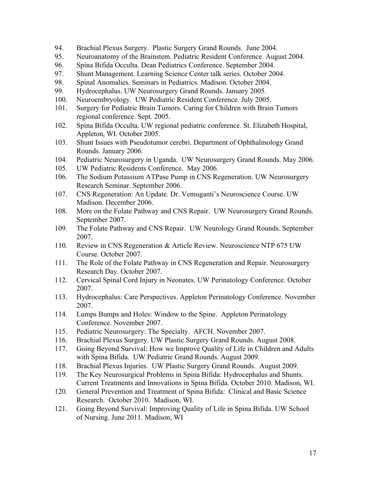- 94. Brachial Plexus Surgery. Plastic Surgery Grand Rounds. June 2004.
- 95. Neuroanatomy of the Brainstem. Pediatric Resident Conference. August 2004.
- 96. Spina Bifida Occulta. Dean Pediatrics Conference. September 2004.
- 97. Shunt Management. Learning Science Center talk series. October 2004.
- 98. Spinal Anomalies. Seminars in Pediatrics. Madison. October 2004.
- 99. Hydrocephalus. UW Neurosurgery Grand Rounds. January 2005.
- 100. Neuroembryology. UW Pediatric Resident Conference. July 2005.
- 101. Surgery for Pediatric Brain Tumors. Caring for Children with Brain Tumors regional conference. Sept. 2005.
- 102. Spina Bifida Occulta. UW regional pediatric conference. St. Elizabeth Hospital, Appleton, WI. October 2005.
- 103. Shunt Issues with Pseudotumor cerebri. Department of Ophthalmology Grand Rounds. January 2006.
- 104. Pediatric Neurosurgery in Uganda. UW Neurosurgery Grand Rounds. May 2006.
- 105. UW Pediatric Residents Conference. May 2006.
- 106. The Sodium Potassium ATPase Pump in CNS Regeneration. UW Neurosurgery Research Seminar. September 2006.
- 107. CNS Regeneration: An Update. Dr. Vemuganti's Neuroscience Course. UW Madison. December 2006.
- 108. More on the Folate Pathway and CNS Repair. UW Neurosurgery Grand Rounds. September 2007.
- 109. The Folate Pathway and CNS Repair. UW Neurology Grand Rounds. September 2007.
- 110. Review in CNS Regeneration & Article Review. Neuroscience NTP 675 UW Course. October 2007.
- 111. The Role of the Folate Pathway in CNS Regeneration and Repair. Neurosurgery Research Day. October 2007.
- 112. Cervical Spinal Cord Injury in Neonates. UW Perinatology Conference. October 2007.
- 113. Hydrocephalus: Care Perspectives. Appleton Perinatology Conference. November 2007.
- 114. Lumps Bumps and Holes: Window to the Spine. Appleton Perinatology Conference. November 2007.
- 115. Pediatric Neurosurgery: The Specialty. AFCH. November 2007.
- 116. Brachial Plexus Surgery. UW Plastic Surgery Grand Rounds. August 2008.
- 117. Going Beyond Survival: How we Improve Quality of Life in Children and Adults with Spina Bifida. UW Pediatric Grand Rounds. August 2009.
- 118. Brachial Plexus Injuries. UW Plastic Surgery Grand Rounds. August 2009.
- 119. The Key Neurosurgical Problems in Spina Bifida: Hydrocephalus and Shunts. Current Treatments and Innovations in Spina Bifida. October 2010. Madison, WI.
- 120. General Prevention and Treatment of Spina Bifida: Clinical and Basic Science Research. October 2010. Madison, WI.
- 121. Going Beyond Survival: Improving Quality of Life in Spina Bifida. UW School of Nursing. June 2011. Madison, WI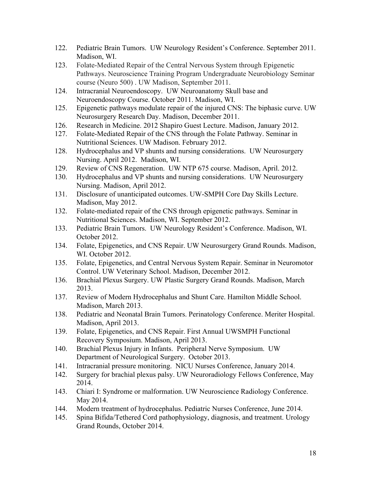- 122. Pediatric Brain Tumors. UW Neurology Resident's Conference. September 2011. Madison, WI.
- 123. Folate-Mediated Repair of the Central Nervous System through Epigenetic Pathways. Neuroscience Training Program Undergraduate Neurobiology Seminar course (Neuro 500) . UW Madison, September 2011.
- 124. Intracranial Neuroendoscopy. UW Neuroanatomy Skull base and Neuroendoscopy Course. October 2011. Madison, WI.
- 125. Epigenetic pathways modulate repair of the injured CNS: The biphasic curve. UW Neurosurgery Research Day. Madison, December 2011.
- 126. Research in Medicine. 2012 Shapiro Guest Lecture. Madison, January 2012.
- 127. Folate-Mediated Repair of the CNS through the Folate Pathway. Seminar in Nutritional Sciences. UW Madison. February 2012.
- 128. Hydrocephalus and VP shunts and nursing considerations. UW Neurosurgery Nursing. April 2012. Madison, WI.
- 129. Review of CNS Regeneration. UW NTP 675 course. Madison, April. 2012.
- 130. Hydrocephalus and VP shunts and nursing considerations. UW Neurosurgery Nursing. Madison, April 2012.
- 131. Disclosure of unanticipated outcomes. UW-SMPH Core Day Skills Lecture. Madison, May 2012.
- 132. Folate-mediated repair of the CNS through epigenetic pathways. Seminar in Nutritional Sciences. Madison, WI. September 2012.
- 133. Pediatric Brain Tumors. UW Neurology Resident's Conference. Madison, WI. October 2012.
- 134. Folate, Epigenetics, and CNS Repair. UW Neurosurgery Grand Rounds. Madison, WI. October 2012.
- 135. Folate, Epigenetics, and Central Nervous System Repair. Seminar in Neuromotor Control. UW Veterinary School. Madison, December 2012.
- 136. Brachial Plexus Surgery. UW Plastic Surgery Grand Rounds. Madison, March 2013.
- 137. Review of Modern Hydrocephalus and Shunt Care. Hamilton Middle School. Madison, March 2013.
- 138. Pediatric and Neonatal Brain Tumors. Perinatology Conference. Meriter Hospital. Madison, April 2013.
- 139. Folate, Epigenetics, and CNS Repair. First Annual UWSMPH Functional Recovery Symposium. Madison, April 2013.
- 140. Brachial Plexus Injury in Infants. Peripheral Nerve Symposium. UW Department of Neurological Surgery. October 2013.
- 141. Intracranial pressure monitoring. NICU Nurses Conference, January 2014.
- 142. Surgery for brachial plexus palsy. UW Neuroradiology Fellows Conference, May 2014.
- 143. Chiari I: Syndrome or malformation. UW Neuroscience Radiology Conference. May 2014.
- 144. Modern treatment of hydrocephalus. Pediatric Nurses Conference, June 2014.
- 145. Spina Bifida/Tethered Cord pathophysiology, diagnosis, and treatment. Urology Grand Rounds, October 2014.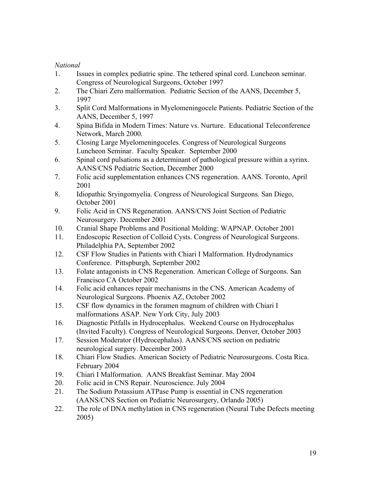### *National*

- 1. Issues in complex pediatric spine. The tethered spinal cord. Luncheon seminar. Congress of Neurological Surgeons, October 1997
- 2. The Chiari Zero malformation. Pediatric Section of the AANS, December 5, 1997
- 3. Split Cord Malformations in Myelomeningocele Patients. Pediatric Section of the AANS, December 5, 1997
- 4. Spina Bifida in Modern Times: Nature vs. Nurture. Educational Teleconference Network, March 2000.
- 5. Closing Large Myelomeningoceles. Congress of Neurological Surgeons Luncheon Seminar. Faculty Speaker. September 2000
- 6. Spinal cord pulsations as a determinant of pathological pressure within a syrinx. AANS/CNS Pediatric Section, December 2000
- 7. Folic acid supplementation enhances CNS regeneration. AANS. Toronto, April 2001
- 8. Idiopathic Sryingomyelia. Congress of Neurological Surgeons. San Diego, October 2001
- 9. Folic Acid in CNS Regeneration. AANS/CNS Joint Section of Pediatric Neurosurgery. December 2001
- 10. Cranial Shape Problems and Positional Molding: WAPNAP. October 2001
- 11. Endoscopic Resection of Colloid Cysts. Congress of Neurological Surgeons. Philadelphia PA, September 2002
- 12. CSF Flow Studies in Patients with Chiari I Malformation. Hydrodynamics Conference. Pittspburgh, September 2002
- 13. Folate antagonists in CNS Regeneration. American College of Surgeons. San Francisco CA October 2002
- 14. Folic acid enhances repair mechanisms in the CNS. American Academy of Neurological Surgeons. Phoenix AZ, October 2002
- 15. CSF flow dynamics in the foramen magnum of children with Chiari I malformations ASAP. New York City, July 2003
- 16. Diagnostic Pitfalls in Hydrocephalus. Weekend Course on Hydrocephalus (Invited Faculty). Congress of Neurological Surgeons. Denver, October 2003
- 17. Session Moderator (Hydrocephalus). AANS/CNS section on pediatric neurological surgery. December 2003
- 18. Chiari Flow Studies. American Society of Pediatric Neurosurgeons. Costa Rica. February 2004
- 19. Chiari I Malformation. AANS Breakfast Seminar. May 2004
- 20. Folic acid in CNS Repair. Neuroscience. July 2004
- 21. The Sodium Potassium ATPase Pump is essential in CNS regeneration (AANS/CNS Section on Pediatric Neurosurgery, Orlando 2005)
- 22. The role of DNA methylation in CNS regeneration (Neural Tube Defects meeting 2005)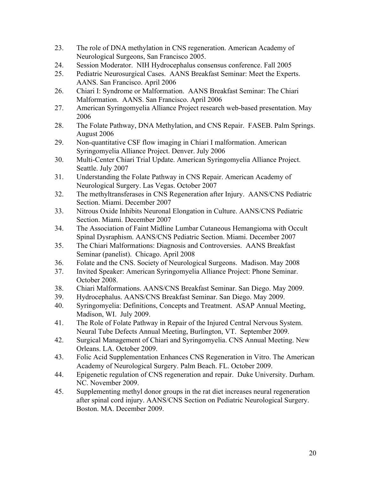- 23. The role of DNA methylation in CNS regeneration. American Academy of Neurological Surgeons, San Francisco 2005.
- 24. Session Moderator. NIH Hydrocephalus consensus conference. Fall 2005
- 25. Pediatric Neurosurgical Cases. AANS Breakfast Seminar: Meet the Experts. AANS. San Francisco. April 2006
- 26. Chiari I: Syndrome or Malformation. AANS Breakfast Seminar: The Chiari Malformation. AANS. San Francisco. April 2006
- 27. American Syringomyelia Alliance Project research web-based presentation. May 2006
- 28. The Folate Pathway, DNA Methylation, and CNS Repair. FASEB. Palm Springs. August 2006
- 29. Non-quantitative CSF flow imaging in Chiari I malformation. American Syringomyelia Alliance Project. Denver. July 2006
- 30. Multi-Center Chiari Trial Update. American Syringomyelia Alliance Project. Seattle. July 2007
- 31. Understanding the Folate Pathway in CNS Repair. American Academy of Neurological Surgery. Las Vegas. October 2007
- 32. The methyltransferases in CNS Regeneration after Injury. AANS/CNS Pediatric Section. Miami. December 2007
- 33. Nitrous Oxide Inhibits Neuronal Elongation in Culture. AANS/CNS Pediatric Section. Miami. December 2007
- 34. The Association of Faint Midline Lumbar Cutaneous Hemangioma with Occult Spinal Dysraphism. AANS/CNS Pediatric Section. Miami. December 2007
- 35. The Chiari Malformations: Diagnosis and Controversies. AANS Breakfast Seminar (panelist). Chicago. April 2008
- 36. Folate and the CNS. Society of Neurological Surgeons. Madison. May 2008
- 37. Invited Speaker: American Syringomyelia Alliance Project: Phone Seminar. October 2008.
- 38. Chiari Malformations. AANS/CNS Breakfast Seminar. San Diego. May 2009.
- 39. Hydrocephalus. AANS/CNS Breakfast Seminar. San Diego. May 2009.
- 40. Syringomyelia: Definitions, Concepts and Treatment. ASAP Annual Meeting, Madison, WI. July 2009.
- 41. The Role of Folate Pathway in Repair of the Injured Central Nervous System. Neural Tube Defects Annual Meeting, Burlington, VT. September 2009.
- 42. Surgical Management of Chiari and Syringomyelia. CNS Annual Meeting. New Orleans. LA. October 2009.
- 43. Folic Acid Supplementation Enhances CNS Regeneration in Vitro. The American Academy of Neurological Surgery. Palm Beach. FL. October 2009.
- 44. Epigenetic regulation of CNS regeneration and repair. Duke University. Durham. NC. November 2009.
- 45. Supplementing methyl donor groups in the rat diet increases neural regeneration after spinal cord injury. AANS/CNS Section on Pediatric Neurological Surgery. Boston. MA. December 2009.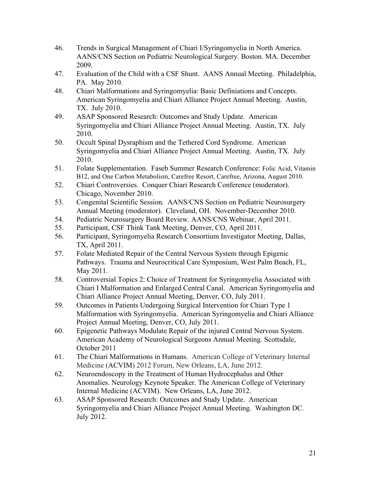- 46. Trends in Surgical Management of Chiari I/Syringomyelia in North America. AANS/CNS Section on Pediatric Neurological Surgery. Boston. MA. December 2009.
- 47. Evaluation of the Child with a CSF Shunt. AANS Annual Meeting. Philadelphia, PA. May 2010.
- 48. Chiari Malformations and Syringomyelia: Basic Definiations and Concepts. American Syringomyelia and Chiari Alliance Project Annual Meeting. Austin, TX. July 2010.
- 49. ASAP Sponsored Research: Outcomes and Study Update. American Syringomyelia and Chiari Alliance Project Annual Meeting. Austin, TX. July 2010.
- 50. Occult Spinal Dysraphism and the Tethered Cord Syndrome. American Syringomyelia and Chiari Alliance Project Annual Meeting. Austin, TX. July 2010.
- 51. Folate Supplementation. Faseb Summer Research Conference: Folic Acid, Vitamin B12, and One Carbon Metabolism, Carefree Resort, Carefree, Arizona, August 2010.
- 52. Chiari Controversies. Conquer Chiari Research Conference (moderator). Chicago, November 2010.
- 53. Congenital Scientific Session. AANS/CNS Section on Pediatric Neurosurgery Annual Meeting (moderator). Cleveland, OH. November-December 2010.
- 54. Pediatric Neurosurgery Board Review. AANS/CNS Webinar, April 2011.
- 55. Participant, CSF Think Tank Meeting, Denver, CO, April 2011.
- 56. Participant, Syringomyelia Research Consortium Investigator Meeting, Dallas, TX, April 2011.
- 57. Folate Mediated Repair of the Central Nervous System through Epigenic Pathways. Trauma and Neurocritical Care Symposium, West Palm Beach, FL, May 2011.
- 58. Controversial Topics 2: Choice of Treatment for Syringomyelia Associated with Chiari I Malformation and Enlarged Central Canal. American Syringomyelia and Chiari Alliance Project Annual Meeting, Denver, CO, July 2011.
- 59. Outcomes in Patients Undergoing Surgical Intervention for Chiari Type 1 Malformation with Syringomyelia. American Syringomyelia and Chiari Alliance Project Annual Meeting, Denver, CO, July 2011.
- 60. Epigenetic Pathways Modulate Repair of the injured Central Nervous System. American Academy of Neurological Surgeons Annual Meeting. Scottsdale, October 2011
- 61. The Chiari Malformations in Humans. American College of Veterinary Internal Medicine (ACVIM) 2012 Forum, New Orleans, LA, June 2012.
- 62. Neuroendoscopy in the Treatment of Human Hydrocephalus and Other Anomalies. Neurology Keynote Speaker. The American College of Veterinary Internal Medicine (ACVIM). New Orleans, LA, June 2012.
- 63. ASAP Sponsored Research: Outcomes and Study Update. American Syringomyelia and Chiari Alliance Project Annual Meeting. Washington DC. July 2012.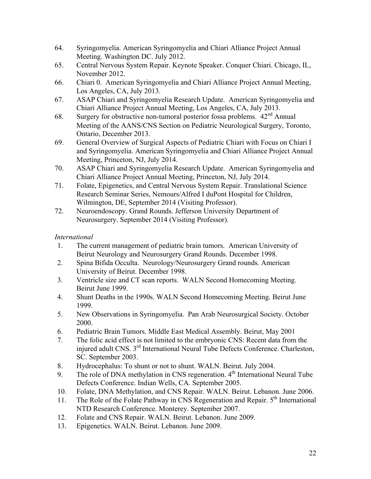- 64. Syringomyelia. American Syringomyelia and Chiari Alliance Project Annual Meeting. Washington DC. July 2012.
- 65. Central Nervous System Repair. Keynote Speaker. Conquer Chiari. Chicago, IL, November 2012.
- 66. Chiari 0. American Syringomyelia and Chiari Alliance Project Annual Meeting, Los Angeles, CA, July 2013.
- 67. ASAP Chiari and Syringomyelia Research Update. American Syringomyelia and Chiari Alliance Project Annual Meeting, Los Angeles, CA, July 2013.
- 68. Surgery for obstructive non-tumoral posterior fossa problems.  $42<sup>nd</sup>$  Annual Meeting of the AANS/CNS Section on Pediatric Neurological Surgery, Toronto, Ontario, December 2013.
- 69. General Overview of Surgical Aspects of Pediatric Chiari with Focus on Chiari I and Syringomyelia. American Syringomyelia and Chiari Alliance Project Annual Meeting, Princeton, NJ, July 2014.
- 70. ASAP Chiari and Syringomyelia Research Update. American Syringomyelia and Chiari Alliance Project Annual Meeting, Princeton, NJ, July 2014.
- 71. Folate, Epigenetics, and Central Nervous System Repair. Translational Science Research Seminar Series, Nemours/Alfred I duPont Hospital for Children, Wilmington, DE, September 2014 (Visiting Professor).
- 72. Neuroendoscopy. Grand Rounds. Jefferson University Department of Neurosurgery. September 2014 (Visiting Professor).

### *International*

- 1. The current management of pediatric brain tumors. American University of Beirut Neurology and Neurosurgery Grand Rounds. December 1998.
- 2. Spina Bifida Occulta. Neurology/Neurosurgery Grand rounds. American University of Beirut. December 1998.
- 3. Ventricle size and CT scan reports. WALN Second Homecoming Meeting. Beirut June 1999.
- 4. Shunt Deaths in the 1990s. WALN Second Homecoming Meeting. Beirut June 1999.
- 5. New Observations in Syringomyelia. Pan Arab Neurosurgical Society. October 2000.
- 6. Pediatric Brain Tumors. Middle East Medical Assembly. Beirut, May 2001
- 7. The folic acid effect is not limited to the embryonic CNS: Recent data from the injured adult CNS. 3rd International Neural Tube Defects Conference. Charleston, SC. September 2003.
- 8. Hydrocephalus: To shunt or not to shunt. WALN. Beirut. July 2004.
- 9. The role of DNA methylation in CNS regeneration.  $4<sup>th</sup>$  International Neural Tube Defects Conference. Indian Wells, CA. September 2005.
- 10. Folate, DNA Methylation, and CNS Repair. WALN. Beirut. Lebanon. June 2006.
- 11. The Role of the Folate Pathway in CNS Regeneration and Repair.  $5<sup>th</sup>$  International NTD Research Conference. Monterey. September 2007.
- 12. Folate and CNS Repair. WALN. Beirut. Lebanon. June 2009.
- 13. Epigenetics. WALN. Beirut. Lebanon. June 2009.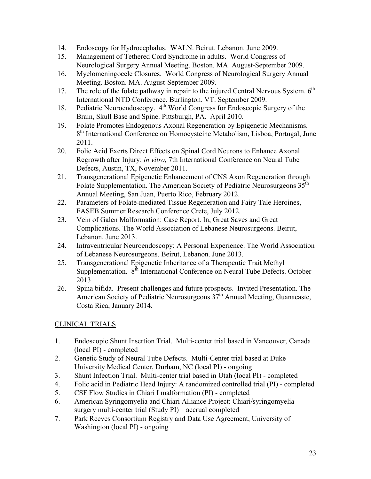- 14. Endoscopy for Hydrocephalus. WALN. Beirut. Lebanon. June 2009.
- 15. Management of Tethered Cord Syndrome in adults. World Congress of Neurological Surgery Annual Meeting. Boston. MA. August-September 2009.
- 16. Myelomeningocele Closures. World Congress of Neurological Surgery Annual Meeting. Boston. MA. August-September 2009.
- 17. The role of the folate pathway in repair to the injured Central Nervous System.  $6<sup>th</sup>$ International NTD Conference. Burlington. VT. September 2009.
- 18. Pediatric Neuroendoscopy. 4<sup>th</sup> World Congress for Endoscopic Surgery of the Brain, Skull Base and Spine. Pittsburgh, PA. April 2010.
- 19. Folate Promotes Endogenous Axonal Regeneration by Epigenetic Mechanisms. 8<sup>th</sup> International Conference on Homocysteine Metabolism, Lisboa, Portugal, June 2011.
- 20. Folic Acid Exerts Direct Effects on Spinal Cord Neurons to Enhance Axonal Regrowth after Injury: *in vitro,* 7th International Conference on Neural Tube Defects, Austin, TX, November 2011.
- 21. Transgenerational Epigenetic Enhancement of CNS Axon Regeneration through Folate Supplementation. The American Society of Pediatric Neurosurgeons 35<sup>th</sup> Annual Meeting, San Juan, Puerto Rico, February 2012.
- 22. Parameters of Folate-mediated Tissue Regeneration and Fairy Tale Heroines, FASEB Summer Research Conference Crete, July 2012.
- 23. Vein of Galen Malformation: Case Report. In, Great Saves and Great Complications. The World Association of Lebanese Neurosurgeons. Beirut, Lebanon. June 2013.
- 24. Intraventricular Neuroendoscopy: A Personal Experience. The World Association of Lebanese Neurosurgeons. Beirut, Lebanon. June 2013.
- 25. Transgenerational Epigenetic Inheritance of a Therapeutic Trait Methyl Supplementation. 8<sup>th</sup> International Conference on Neural Tube Defects. October 2013.
- 26. Spina bifida. Present challenges and future prospects. Invited Presentation. The American Society of Pediatric Neurosurgeons 37<sup>th</sup> Annual Meeting, Guanacaste, Costa Rica, January 2014.

## CLINICAL TRIALS

- 1. Endoscopic Shunt Insertion Trial. Multi-center trial based in Vancouver, Canada (local PI) - completed
- 2. Genetic Study of Neural Tube Defects. Multi-Center trial based at Duke University Medical Center, Durham, NC (local PI) - ongoing
- 3. Shunt Infection Trial. Multi-center trial based in Utah (local PI) completed
- 4. Folic acid in Pediatric Head Injury: A randomized controlled trial (PI) completed
- 5. CSF Flow Studies in Chiari I malformation (PI) completed
- 6. American Syringomyelia and Chiari Alliance Project: Chiari/syringomyelia surgery multi-center trial (Study PI) – accrual completed
- 7. Park Reeves Consortium Registry and Data Use Agreement, University of Washington (local PI) - ongoing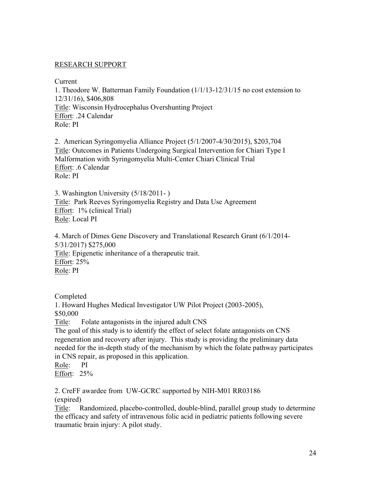#### RESEARCH SUPPORT

Current

1. Theodore W. Batterman Family Foundation (1/1/13-12/31/15 no cost extension to 12/31/16), \$406,808 Title: Wisconsin Hydrocephalus Overshunting Project Effort: .24 Calendar Role: PI

2. American Syringomyelia Alliance Project (5/1/2007-4/30/2015), \$203,704 Title: Outcomes in Patients Undergoing Surgical Intervention for Chiari Type I Malformation with Syringomyelia Multi-Center Chiari Clinical Trial Effort: .6 Calendar Role: PI

3. Washington University (5/18/2011- ) Title: Park Reeves Syringomyelia Registry and Data Use Agreement Effort: 1% (clinical Trial) Role: Local PI

4. March of Dimes Gene Discovery and Translational Research Grant (6/1/2014- 5/31/2017) \$275,000 Title: Epigenetic inheritance of a therapeutic trait. Effort: 25% Role: PI

Completed

1. Howard Hughes Medical Investigator UW Pilot Project (2003-2005), \$50,000 Title: Folate antagonists in the injured adult CNS The goal of this study is to identify the effect of select folate antagonists on CNS

regeneration and recovery after injury. This study is providing the preliminary data needed for the in-depth study of the mechanism by which the folate pathway participates in CNS repair, as proposed in this application.

Role: PI Effort: 25%

2. CreFF awardee from UW-GCRC supported by NIH-M01 RR03186 (expired)

Title: Randomized, placebo-controlled, double-blind, parallel group study to determine the efficacy and safety of intravenous folic acid in pediatric patients following severe traumatic brain injury: A pilot study.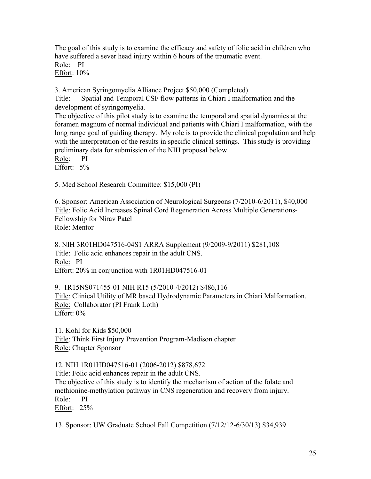The goal of this study is to examine the efficacy and safety of folic acid in children who have suffered a sever head injury within 6 hours of the traumatic event.

Role: PI Effort: 10%

3. American Syringomyelia Alliance Project \$50,000 (Completed)

Title: Spatial and Temporal CSF flow patterns in Chiari I malformation and the development of syringomyelia.

The objective of this pilot study is to examine the temporal and spatial dynamics at the foramen magnum of normal individual and patients with Chiari I malformation, with the long range goal of guiding therapy. My role is to provide the clinical population and help with the interpretation of the results in specific clinical settings. This study is providing preliminary data for submission of the NIH proposal below.

Role: PI

Effort: 5%

5. Med School Research Committee: \$15,000 (PI)

6. Sponsor: American Association of Neurological Surgeons (7/2010-6/2011), \$40,000 Title: Folic Acid Increases Spinal Cord Regeneration Across Multiple Generations-Fellowship for Nirav Patel Role: Mentor

8. NIH 3R01HD047516-04S1 ARRA Supplement (9/2009-9/2011) \$281,108 Title: Folic acid enhances repair in the adult CNS. Role: PI Effort: 20% in conjunction with 1R01HD047516-01

9. 1R15NS071455-01 NIH R15 (5/2010-4/2012) \$486,116 Title: Clinical Utility of MR based Hydrodynamic Parameters in Chiari Malformation. Role: Collaborator (PI Frank Loth) Effort: 0%

11. Kohl for Kids \$50,000 Title: Think First Injury Prevention Program-Madison chapter Role: Chapter Sponsor

12. NIH 1R01HD047516-01 (2006-2012) \$878,672

Title: Folic acid enhances repair in the adult CNS.

The objective of this study is to identify the mechanism of action of the folate and methionine-methylation pathway in CNS regeneration and recovery from injury. Role: PI

Effort: 25%

13. Sponsor: UW Graduate School Fall Competition (7/12/12-6/30/13) \$34,939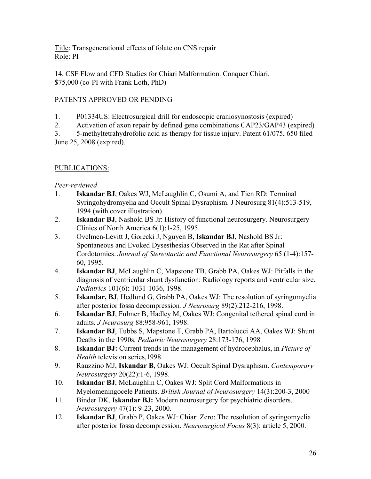Title: Transgenerational effects of folate on CNS repair Role: PI

14. CSF Flow and CFD Studies for Chiari Malformation. Conquer Chiari. \$75,000 (co-PI with Frank Loth, PhD)

### PATENTS APPROVED OR PENDING

- 1. P01334US: Electrosurgical drill for endoscopic craniosynostosis (expired)
- 2. Activation of axon repair by defined gene combinations CAP23/GAP43 (expired)

3. 5-methyltetrahydrofolic acid as therapy for tissue injury. Patent 61/075, 650 filed June 25, 2008 (expired).

## PUBLICATIONS:

### *Peer-reviewed*

- 1. **Iskandar BJ**, Oakes WJ, McLaughlin C, Osumi A, and Tien RD: Terminal Syringohydromyelia and Occult Spinal Dysraphism. J Neurosurg 81(4):513-519, 1994 (with cover illustration).
- 2. **Iskandar BJ**, Nashold BS Jr: History of functional neurosurgery. Neurosurgery Clinics of North America 6(1):1-25, 1995.
- 3. Ovelmen-Levitt J, Gorecki J, Nguyen B, **Iskandar BJ**, Nashold BS Jr: Spontaneous and Evoked Dysesthesias Observed in the Rat after Spinal Cordotomies. *Journal of Stereotactic and Functional Neurosurgery* 65 (1-4):157- 60, 1995.
- 4. **Iskandar BJ**, McLaughlin C, Mapstone TB, Grabb PA, Oakes WJ: Pitfalls in the diagnosis of ventricular shunt dysfunction: Radiology reports and ventricular size. *Pediatrics* 101(6): 1031-1036, 1998.
- 5. **Iskandar, BJ**, Hedlund G, Grabb PA, Oakes WJ: The resolution of syringomyelia after posterior fossa decompression*. J Neurosurg* 89(2):212-216, 1998.
- 6. **Iskandar BJ**, Fulmer B, Hadley M, Oakes WJ: Congenital tethered spinal cord in adults. *J Neurosurg* 88:958-961, 1998.
- 7. **Iskandar BJ**, Tubbs S, Mapstone T, Grabb PA, Bartolucci AA, Oakes WJ: Shunt Deaths in the 1990s. *Pediatric Neurosurgery* 28:173-176, 1998
- 8. **Iskandar BJ:** Current trends in the management of hydrocephalus, in *Picture of Health* television series,1998.
- 9. Rauzzino MJ, **Iskandar B**, Oakes WJ: Occult Spinal Dysraphism. *Contemporary Neurosurgery* 20(22):1-6, 1998.
- 10. **Iskandar BJ**, McLaughlin C, Oakes WJ: Split Cord Malformations in Myelomeningocele Patients. *British Journal of Neurosurgery* 14(3):200-3, 2000
- 11. Binder DK, **Iskandar BJ:** Modern neurosurgery for psychiatric disorders. *Neurosurgery* 47(1): 9-23, 2000.
- 12. **Iskandar BJ**, Grabb P, Oakes WJ: Chiari Zero: The resolution of syringomyelia after posterior fossa decompression. *Neurosurgical Focus* 8(3): article 5, 2000.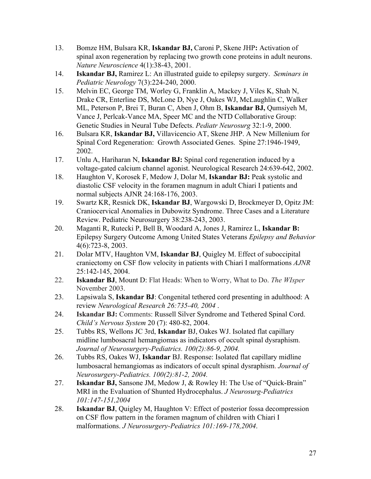- 13. Bomze HM, Bulsara KR, **Iskandar BJ,** Caroni P, Skene JHP**:** Activation of spinal axon regeneration by replacing two growth cone proteins in adult neurons. *Nature Neuroscience* 4(1):38-43, 2001.
- 14. **Iskandar BJ,** Ramirez L: An illustrated guide to epilepsy surgery. *Seminars in Pediatric Neurology* 7(3):224-240, 2000.
- 15. Melvin EC, George TM, Worley G, Franklin A, Mackey J, Viles K, Shah N, Drake CR, Enterline DS, McLone D, Nye J, Oakes WJ, McLaughlin C, Walker ML, Peterson P, Brei T, Buran C, Aben J, Ohm B, **Iskandar BJ,** Qumsiyeh M, Vance J, Perlcak-Vance MA, Speer MC and the NTD Collaborative Group: Genetic Studies in Neural Tube Defects. *Pediatr Neurosurg* 32:1-9, 2000.
- 16. Bulsara KR, **Iskandar BJ,** Villavicencio AT, Skene JHP. A New Millenium for Spinal Cord Regeneration: Growth Associated Genes. Spine 27:1946-1949, 2002.
- 17. Unlu A, Hariharan N, **Iskandar BJ:** Spinal cord regeneration induced by a voltage-gated calcium channel agonist. Neurological Research 24:639-642, 2002.
- 18. Haughton V, Korosek F, Medow J, Dolar M, **Iskandar BJ:** Peak systolic and diastolic CSF velocity in the foramen magnum in adult Chiari I patients and normal subjects AJNR 24:168-176, 2003.
- 19. Swartz KR, Resnick DK, **Iskandar BJ**, Wargowski D, Brockmeyer D, Opitz JM: Craniocervical Anomalies in Dubowitz Syndrome. Three Cases and a Literature Review. Pediatric Neurosurgery 38:238-243, 2003.
- 20. Maganti R, Rutecki P, Bell B, Woodard A, Jones J, Ramirez L, **Iskandar B:** Epilepsy Surgery Outcome Among United States Veterans *Epilepsy and Behavior*  4(6):723-8, 2003.
- 21. Dolar MTV, Haughton VM, **Iskandar BJ**, Quigley M. Effect of suboccipital craniectomy on CSF flow velocity in patients with Chiari I malformations *AJNR* 25:142-145, 2004.
- 22. **Iskandar BJ**, Mount D: Flat Heads: When to Worry, What to Do. *The WIsper* November 2003.
- 23. Lapsiwala S, **Iskandar BJ**: Congenital tethered cord presenting in adulthood: A review *Neurological Research 26:735-40, 2004* .
- 24. **Iskandar BJ:** Comments: Russell Silver Syndrome and Tethered Spinal Cord. *Child's Nervous System* 20 (7): 480-82, 2004.
- 25. Tubbs RS, Wellons JC 3rd, **Iskandar** BJ, Oakes WJ. Isolated flat capillary midline lumbosacral hemangiomas as indicators of occult spinal dysraphism. *Journal of Neurosurgery-Pediatrics. 100(2):86-9, 2004.*
- 26. Tubbs RS, Oakes WJ, **Iskandar** BJ. Response: Isolated flat capillary midline lumbosacral hemangiomas as indicators of occult spinal dysraphism. *Journal of Neurosurgery-Pediatrics. 100(2):81-2, 2004.*
- 27. **Iskandar BJ,** Sansone JM, Medow J, & Rowley H: The Use of "Quick-Brain" MRI in the Evaluation of Shunted Hydrocephalus. *J Neurosurg-Pediatrics 101:147-151,2004*
- 28. **Iskandar BJ**, Quigley M, Haughton V: Effect of posterior fossa decompression on CSF flow pattern in the foramen magnum of children with Chiari I malformations. *J Neurosurgery-Pediatrics 101:169-178,2004*.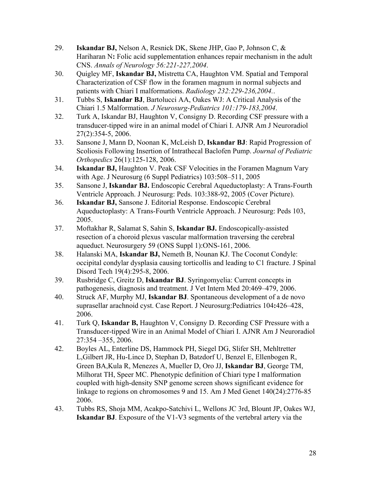- 29. **Iskandar BJ,** Nelson A, Resnick DK, Skene JHP, Gao P, Johnson C, & Hariharan N**:** Folic acid supplementation enhances repair mechanism in the adult CNS. *Annals of Neurology 56:221-227,2004*.
- 30. Quigley MF, **Iskandar BJ,** Mistretta CA, Haughton VM. Spatial and Temporal Characterization of CSF flow in the foramen magnum in normal subjects and patients with Chiari I malformations. *Radiology 232:229-236,2004.*.
- 31. Tubbs S, **Iskandar BJ**, Bartolucci AA, Oakes WJ: A Critical Analysis of the Chiari 1.5 Malformation. *J Neurosurg-Pediatrics 101:179-183,2004*.
- 32. Turk A, Iskandar BJ, Haughton V, Consigny D. Recording CSF pressure with a transducer-tipped wire in an animal model of Chiari I. AJNR Am J Neuroradiol 27(2):354-5, 2006.
- 33. Sansone J, Mann D, Noonan K, McLeish D, **Iskandar BJ**: Rapid Progression of Scoliosis Following Insertion of Intrathecal Baclofen Pump. *Journal of Pediatric Orthopedics* 26(1):125-128, 2006.
- 34. **Iskandar BJ,** Haughton V. Peak CSF Velocities in the Foramen Magnum Vary with Age. J Neurosurg (6 Suppl Pediatrics) 103:508–511, 2005
- 35. Sansone J, **Iskandar BJ.** Endoscopic Cerebral Aqueductoplasty: A Trans-Fourth Ventricle Approach. J Neurosurg: Peds. 103:388-92, 2005 (Cover Picture).
- 36. **Iskandar BJ,** Sansone J. Editorial Response. Endoscopic Cerebral Aqueductoplasty: A Trans-Fourth Ventricle Approach. J Neurosurg: Peds 103, 2005.
- 37. Moftakhar R, Salamat S, Sahin S, **Iskandar BJ.** Endoscopically-assisted resection of a choroid plexus vascular malformation traversing the cerebral aqueduct. Neurosurgery 59 (ONS Suppl 1):ONS-161, 2006.
- 38. Halanski MA, **Iskandar BJ,** Nemeth B, Nounan KJ. The Coconut Condyle: occipital condylar dysplasia causing torticollis and leading to C1 fracture. J Spinal Disord Tech 19(4):295-8, 2006.
- 39. Rusbridge C, Greitz D, **Iskandar BJ**. Syringomyelia: Current concepts in pathogenesis, diagnosis and treatment. J Vet Intern Med 20:469–479, 2006.
- 40. Struck AF, Murphy MJ, **Iskandar BJ**. Spontaneous development of a de novo suprasellar arachnoid cyst. Case Report. J Neurosurg:Pediatrics 104**:**426–428, 2006.
- 41. Turk Q, **Iskandar B,** Haughton V, Consigny D. Recording CSF Pressure with a Transducer-tipped Wire in an Animal Model of Chiari I. AJNR Am J Neuroradiol 27:354 –355, 2006.
- 42. Boyles AL, Enterline DS, Hammock PH, Siegel DG, Slifer SH, Mehltretter L,Gilbert JR, Hu-Lince D, Stephan D, Batzdorf U, Benzel E, Ellenbogen R, Green BA,Kula R, Menezes A, Mueller D, Oro JJ, **Iskandar BJ**, George TM, Milhorat TH, Speer MC. Phenotypic definition of Chiari type I malformation coupled with high-density SNP genome screen shows significant evidence for linkage to regions on chromosomes 9 and 15. Am J Med Genet 140(24):2776-85 2006.
- 43. Tubbs RS, Shoja MM, Acakpo-Satchivi L, Wellons JC 3rd, Blount JP, Oakes WJ, **Iskandar BJ**. Exposure of the V1-V3 segments of the vertebral artery via the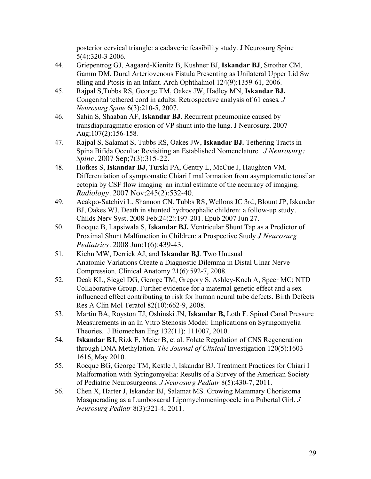posterior cervical triangle: a cadaveric feasibility study. J Neurosurg Spine 5(4):320-3 2006.

- 44. Griepentrog GJ, Aagaard-Kienitz B, Kushner BJ, **Iskandar BJ**, Strother CM, Gamm DM. Dural Arteriovenous Fistula Presenting as Unilateral Upper Lid Sw elling and Ptosis in an Infant. Arch Ophthalmol 124(9):1359-61, 2006.
- 45. Rajpal S,Tubbs RS, George TM, Oakes JW, Hadley MN, **Iskandar BJ.** Congenital tethered cord in adults: Retrospective analysis of 61 cases*. J Neurosurg Spine* 6(3):210-5, 2007.
- 46. Sahin S, Shaaban AF, **Iskandar BJ**. Recurrent pneumoniae caused by transdiaphragmatic erosion of VP shunt into the lung. J Neurosurg. 2007 Aug;107(2):156-158.
- 47. Rajpal S, Salamat S, Tubbs RS, Oakes JW, **Iskandar BJ.** Tethering Tracts in Spina Bifida Occulta: Revisiting an Established Nomenclature. *J Neurosurg: Spine.* 2007 Sep;7(3):315-22.
- 48. Hofkes S, **Iskandar BJ**, Turski PA, Gentry L, McCue J, Haughton VM. Differentiation of symptomatic Chiari I malformation from asymptomatic tonsilar ectopia by CSF flow imaging–an initial estimate of the accuracy of imaging. *Radiology*. 2007 Nov;245(2):532-40.
- 49. Acakpo-Satchivi L, Shannon CN, Tubbs RS, Wellons JC 3rd, Blount JP, Iskandar BJ, Oakes WJ. Death in shunted hydrocephalic children: a follow-up study. Childs Nerv Syst. 2008 Feb;24(2):197-201. Epub 2007 Jun 27.
- 50. Rocque B, Lapsiwala S, **Iskandar BJ.** Ventricular Shunt Tap as a Predictor of Proximal Shunt Malfunction in Children: a Prospective Study *J Neurosurg Pediatrics*. 2008 Jun;1(6):439-43.
- 51. Kiehn MW, Derrick AJ, and **Iskandar BJ**. Two Unusual Anatomic Variations Create a Diagnostic Dilemma in Distal Ulnar Nerve Compression. Clinical Anatomy 21(6):592-7, 2008.
- 52. Deak KL, Siegel DG, George TM, Gregory S, Ashley-Koch A, Speer MC; NTD Collaborative Group. Further evidence for a maternal genetic effect and a sexinfluenced effect contributing to risk for human neural tube defects. Birth Defects Res A Clin Mol Teratol 82(10):662-9, 2008.
- 53. Martin BA, Royston TJ, Oshinski JN, **Iskandar B,** Loth F. Spinal Canal Pressure Measurements in an In Vitro Stenosis Model: Implications on Syringomyelia Theories. J Biomechan Eng 132(11): 111007, 2010.
- 54. **Iskandar BJ,** Rizk E, Meier B, et al. Folate Regulation of CNS Regeneration through DNA Methylation. *The Journal of Clinical* Investigation 120(5):1603- 1616, May 2010.
- 55. Rocque BG, George TM, Kestle J, Iskandar BJ. Treatment Practices for Chiari I Malformation with Syringomyelia: Results of a Survey of the American Society of Pediatric Neurosurgeons. *J Neurosurg Pediatr* 8(5):430-7, 2011.
- 56. Chen X, Harter J, Iskandar BJ, Salamat MS. Growing Mammary Choristoma Masquerading as a Lumbosacral Lipomyelomeningocele in a Pubertal Girl. *J Neurosurg Pediatr* 8(3):321-4, 2011.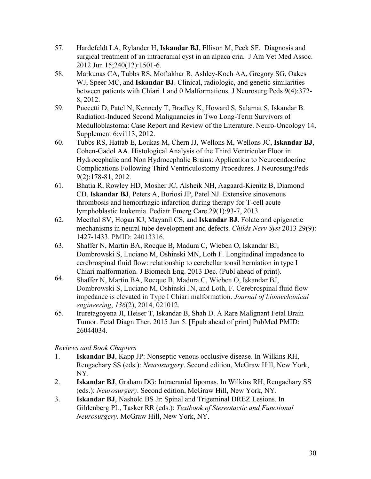- 57. Hardefeldt LA, Rylander H, **Iskandar BJ**, Ellison M, Peek SF. Diagnosis and surgical treatment of an intracranial cyst in an alpaca cria. J Am Vet Med Assoc. 2012 Jun 15;240(12):1501-6.
- 58. Markunas CA, Tubbs RS, Moftakhar R, Ashley-Koch AA, Gregory SG, Oakes WJ, Speer MC, and **Iskandar BJ**. Clinical, radiologic, and genetic similarities between patients with Chiari 1 and 0 Malformations. J Neurosurg:Peds 9(4):372- 8, 2012.
- 59. Puccetti D, Patel N, Kennedy T, Bradley K, Howard S, Salamat S, Iskandar B. Radiation-Induced Second Malignancies in Two Long-Term Survivors of Medulloblastoma: Case Report and Review of the Literature. Neuro-Oncology 14, Supplement 6:vi113, 2012.
- 60. Tubbs RS, Hattab E, Loukas M, Chern JJ, Wellons M, Wellons JC, **Iskandar BJ**, Cohen-Gadol AA. Histological Analysis of the Third Ventricular Floor in Hydrocephalic and Non Hydrocephalic Brains: Application to Neuroendocrine Complications Following Third Ventriculostomy Procedures. J Neurosurg:Peds 9(2):178-81, 2012.
- 61. Bhatia R, Rowley HD, Mosher JC, Alsheik NH, Aagaard-Kienitz B, Diamond CD, **Iskandar BJ**, Peters A, Boriosi JP, Patel NJ. Extensive sinovenous thrombosis and hemorrhagic infarction during therapy for T-cell acute lymphoblastic leukemia. Pediatr Emerg Care 29(1):93-7, 2013.
- 62. Meethal SV, Hogan KJ, Mayanil CS, and **Iskandar BJ**. Folate and epigenetic mechanisms in neural tube development and defects. *Childs Nerv Syst* 2013 29(9): 1427-1433. PMID: 24013316.
- 63. Shaffer N, Martin BA, Rocque B, Madura C, Wieben O, Iskandar BJ, Dombrowski S, Luciano M, Oshinski MN, Loth F. Longitudinal impedance to cerebrospinal fluid flow: relationship to cerebellar tonsil herniation in type I
- Chiari malformation. J Biomech Eng. 2013 Dec. (Publ ahead of print). 64. Shaffer N, Martin BA, Rocque B, Madura C, Wieben O, Iskandar BJ, Dombrowski S, Luciano M, Oshinski JN, and Loth, F. Cerebrospinal fluid flow impedance is elevated in Type I Chiari malformation. *Journal of biomechanical engineering*, *136*(2), 2014, 021012.
- 65. Iruretagoyena JI, Heiser T, Iskandar B, Shah D. A Rare Malignant Fetal Brain Tumor. Fetal Diagn Ther. 2015 Jun 5. [Epub ahead of print] PubMed PMID: 26044034.

*Reviews and Book Chapters*

- 1. **Iskandar BJ**, Kapp JP: Nonseptic venous occlusive disease. In Wilkins RH, Rengachary SS (eds.): *Neurosurgery*. Second edition, McGraw Hill, New York, NY.
- 2. **Iskandar BJ**, Graham DG: Intracranial lipomas. In Wilkins RH, Rengachary SS (eds.): *Neurosurgery*. Second edition, McGraw Hill, New York, NY.
- 3. **Iskandar BJ**, Nashold BS Jr: Spinal and Trigeminal DREZ Lesions. In Gildenberg PL, Tasker RR (eds.): *Textbook of Stereotactic and Functional Neurosurgery*. McGraw Hill, New York, NY.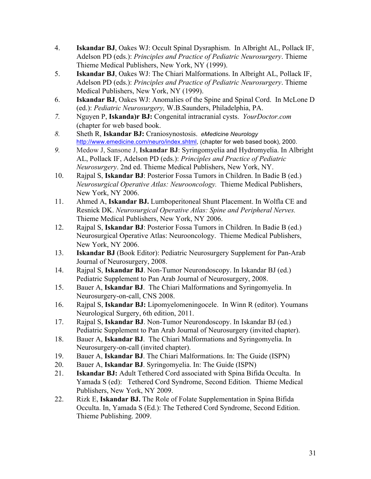- 4. **Iskandar BJ**, Oakes WJ: Occult Spinal Dysraphism. In Albright AL, Pollack IF, Adelson PD (eds.): *Principles and Practice of Pediatric Neurosurgery*. Thieme Thieme Medical Publishers, New York, NY (1999).
- 5. **Iskandar BJ**, Oakes WJ: The Chiari Malformations. In Albright AL, Pollack IF, Adelson PD (eds.): *Principles and Practice of Pediatric Neurosurgery*. Thieme Medical Publishers, New York, NY (1999).
- 6. **Iskandar BJ**, Oakes WJ: Anomalies of the Spine and Spinal Cord. In McLone D (ed.): *Pediatric Neurosurgery,* W.B.Saunders, Philadelphia, PA.
- *7.* Nguyen P, **Iskanda)r BJ:** Congenital intracranial cysts. *YourDoctor.com* (chapter for web based book.
- *8.* Sheth R, **Iskandar BJ:** Craniosynostosis. *eMedicine Neurology*  http://www.emedicine.com/neuro/index.shtml, (chapter for web based book), 2000.
- *9.* Medow J, Sansone J, **Iskandar BJ**: Syringomyelia and Hydromyelia. In Albright AL, Pollack IF, Adelson PD (eds.): *Principles and Practice of Pediatric Neurosurgery*. 2nd ed. Thieme Medical Publishers, New York, NY.
- 10. Rajpal S, **Iskandar BJ**: Posterior Fossa Tumors in Children. In Badie B (ed.) *Neurosurgical Operative Atlas: Neurooncology.* Thieme Medical Publishers, New York, NY 2006.
- 11. Ahmed A, **Iskandar BJ.** Lumboperitoneal Shunt Placement. In Wolfla CE and Resnick DK. *Neurosurgical Operative Atlas: Spine and Peripheral Nerves.*  Thieme Medical Publishers, New York, NY 2006.
- 12. Rajpal S, **Iskandar BJ**: Posterior Fossa Tumors in Children. In Badie B (ed.) Neurosurgical Operative Atlas: Neurooncology. Thieme Medical Publishers, New York, NY 2006.
- 13. **Iskandar BJ** (Book Editor): Pediatric Neurosurgery Supplement for Pan-Arab Journal of Neurosurgery, 2008.
- 14. Rajpal S, **Iskandar BJ**. Non-Tumor Neurondoscopy. In Iskandar BJ (ed.) Pediatric Supplement to Pan Arab Journal of Neurosurgery, 2008.
- 15. Bauer A, **Iskandar BJ**. The Chiari Malformations and Syringomyelia. In Neurosurgery-on-call, CNS 2008.
- 16. Rajpal S, **Iskandar BJ:** Lipomyelomeningocele. In Winn R (editor). Youmans Neurological Surgery, 6th edition, 2011.
- 17. Rajpal S, **Iskandar BJ**. Non-Tumor Neurondoscopy. In Iskandar BJ (ed.) Pediatric Supplement to Pan Arab Journal of Neurosurgery (invited chapter).
- 18. Bauer A, **Iskandar BJ**. The Chiari Malformations and Syringomyelia. In Neurosurgery-on-call (invited chapter).
- 19. Bauer A, **Iskandar BJ**. The Chiari Malformations. In: The Guide (ISPN)
- 20. Bauer A, **Iskandar BJ**. Syringomyelia. In: The Guide (ISPN)
- 21. **Iskandar BJ:** Adult Tethered Cord associated with Spina Bifida Occulta. In Yamada S (ed): Tethered Cord Syndrome, Second Edition. Thieme Medical Publishers, New York, NY 2009.
- 22. Rizk E, **Iskandar BJ.** The Role of Folate Supplementation in Spina Bifida Occulta. In, Yamada S (Ed.): The Tethered Cord Syndrome, Second Edition. Thieme Publishing. 2009.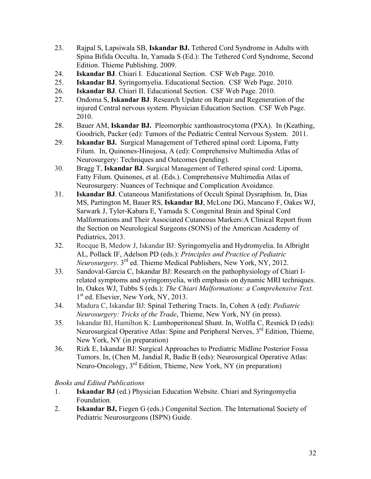- 23. Rajpal S, Lapsiwala SB, **Iskandar BJ.** Tethered Cord Syndrome in Adults with Spina Bifida Occulta. In, Yamada S (Ed.): The Tethered Cord Syndrome, Second Edition. Thieme Publishing. 2009.
- 24. **Iskandar BJ**. Chiari I. Educational Section. CSF Web Page. 2010.
- 25. **Iskandar BJ**. Syringomyelia. Educational Section. CSF Web Page. 2010.
- 26. **Iskandar BJ**. Chiari II. Educational Section. CSF Web Page. 2010.
- 27. Ondoma S, **Iskandar BJ**. Research Update on Repair and Regeneration of the injured Central nervous system. Physician Education Section. CSF Web Page. 2010.
- 28. Bauer AM, **Iskandar BJ.** Pleomorphic xanthoastrocytoma (PXA). In (Keathing, Goodrich, Packer (ed): Tumors of the Pediatric Central Nervous System. 2011.
- 29. **Iskandar BJ.** Surgical Management of Tethered spinal cord: Lipoma, Fatty Filum. In, Quinones-Hinojosa, A (ed): Comprehensive Multimedia Atlas of Neurosurgery: Techniques and Outcomes (pending).
- 30. Bragg T, **Iskandar BJ**. Surgical Management of Tethered spinal cord: Lipoma, Fatty Filum. Quinones, et al. (Eds.). Comprehensive Multimedia Atlas of Neurosurgery: Nuances of Technique and Complication Avoidance.
- 31. **Iskandar BJ**. Cutaneous Manifestations of Occult Spinal Dysraphism. In, Dias MS, Partington M, Bauer RS, **Iskandar BJ**, McLone DG, Mancano F, Oakes WJ, Sarwark J, Tyler-Kabara E, Yamada S. Congenital Brain and Spinal Cord Malformations and Their Associated Cutaneous Markers:A Clinical Report from the Section on Neurological Surgeons (SONS) of the American Academy of Pediatrics, 2013.
- 32. Rocque B, Medow J, Iskandar BJ: Syringomyelia and Hydromyelia. In Albright AL, Pollack IF, Adelson PD (eds.): *Principles and Practice of Pediatric Neurosurgery*. 3rd ed. Thieme Medical Publishers, New York, NY, 2012.
- 33. Sandoval-Garcia C, Iskandar BJ: Research on the pathophysiology of Chiari Irelated symptoms and syringomyelia, with emphasis on dynamic MRI techniques. In, Oakes WJ, Tubbs S (eds.): *The Chiari Malformations: a Comprehensive Text.*  1<sup>st</sup> ed. Elsevier, New York, NY, 2013.
- 34. Madura C, Iskandar BJ: Spinal Tethering Tracts. In, Cohen A (ed): *Pediatric Neurosurgery: Tricks of the Trade*, Thieme, New York, NY (in press).
- 35. Iskandar BJ, Hamilton K: Lumboperitoneal Shunt. In, Wolfla C, Resnick D (eds): Neurosurgical Operative Atlas: Spine and Peripheral Nerves, 3<sup>rd</sup> Edition, Thieme, New York, NY (in preparation)
- 36. Rizk E, Iskandar BJ: Surgical Approaches to Prediatric Midline Posterior Fossa Tumors. In, (Chen M, Jandial R, Badie B (eds): Neurosurgical Operative Atlas: Neuro-Oncology, 3rd Edition, Thieme, New York, NY (in preparation)

*Books and Edited Publications*

- 1. **Iskandar BJ** (ed.) Physician Education Website. Chiari and Syringomyelia Foundation.
- 2. **Iskandar BJ,** Fiegen G (eds.) Congenital Section. The International Society of Pediatric Neurosurgeons (ISPN) Guide.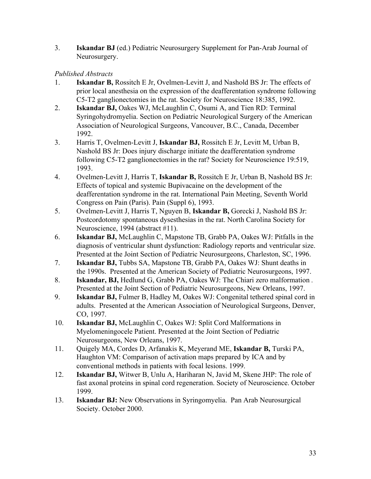3. **Iskandar BJ** (ed.) Pediatric Neurosurgery Supplement for Pan-Arab Journal of Neurosurgery.

### *Published Abstracts*

- 1. **Iskandar B,** Rossitch E Jr, Ovelmen-Levitt J, and Nashold BS Jr: The effects of prior local anesthesia on the expression of the deafferentation syndrome following C5-T2 ganglionectomies in the rat. Society for Neuroscience 18:385, 1992.
- 2. **Iskandar BJ,** Oakes WJ, McLaughlin C, Osumi A, and Tien RD: Terminal Syringohydromyelia. Section on Pediatric Neurological Surgery of the American Association of Neurological Surgeons, Vancouver, B.C., Canada, December 1992.
- 3. Harris T, Ovelmen-Levitt J, **Iskandar BJ,** Rossitch E Jr, Levitt M, Urban B, Nashold BS Jr: Does injury discharge initiate the deafferentation syndrome following C5-T2 ganglionectomies in the rat? Society for Neuroscience 19:519, 1993.
- 4. Ovelmen-Levitt J, Harris T, **Iskandar B,** Rossitch E Jr, Urban B, Nashold BS Jr: Effects of topical and systemic Bupivacaine on the development of the deafferentation syndrome in the rat. International Pain Meeting, Seventh World Congress on Pain (Paris). Pain (Suppl 6), 1993.
- 5. Ovelmen-Levitt J, Harris T, Nguyen B, **Iskandar B,** Gorecki J, Nashold BS Jr: Postcordotomy spontaneous dysesthesias in the rat. North Carolina Society for Neuroscience, 1994 (abstract #11).
- 6. **Iskandar BJ,** McLaughlin C, Mapstone TB, Grabb PA, Oakes WJ: Pitfalls in the diagnosis of ventricular shunt dysfunction: Radiology reports and ventricular size. Presented at the Joint Section of Pediatric Neurosurgeons, Charleston, SC, 1996.
- 7. **Iskandar BJ,** Tubbs SA, Mapstone TB, Grabb PA, Oakes WJ: Shunt deaths in the 1990s. Presented at the American Society of Pediatric Neurosurgeons, 1997.
- 8. **Iskandar, BJ,** Hedlund G, Grabb PA, Oakes WJ: The Chiari zero malformation *.* Presented at the Joint Section of Pediatric Neurosurgeons, New Orleans, 1997.
- 9. **Iskandar BJ,** Fulmer B, Hadley M, Oakes WJ: Congenital tethered spinal cord in adults. Presented at the American Association of Neurological Surgeons, Denver, CO, 1997.
- 10. **Iskandar BJ,** McLaughlin C, Oakes WJ: Split Cord Malformations in Myelomeningocele Patient. Presented at the Joint Section of Pediatric Neurosurgeons, New Orleans, 1997.
- 11. Quigely MA, Cordes D, Arfanakis K, Meyerand ME, **Iskandar B,** Turski PA, Haughton VM: Comparison of activation maps prepared by ICA and by conventional methods in patients with focal lesions. 1999.
- 12. **Iskandar BJ,** Witwer B, Unlu A, Hariharan N, Javid M, Skene JHP: The role of fast axonal proteins in spinal cord regeneration. Society of Neuroscience. October 1999.
- 13. **Iskandar BJ:** New Observations in Syringomyelia. Pan Arab Neurosurgical Society. October 2000.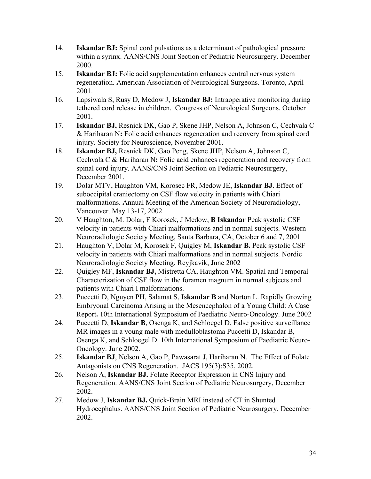- 14. **Iskandar BJ:** Spinal cord pulsations as a determinant of pathological pressure within a syrinx. AANS/CNS Joint Section of Pediatric Neurosurgery. December 2000.
- 15. **Iskandar BJ:** Folic acid supplementation enhances central nervous system regeneration. American Association of Neurological Surgeons. Toronto, April 2001.
- 16. Lapsiwala S, Rusy D, Medow J, **Iskandar BJ:** Intraoperative monitoring during tethered cord release in children. Congress of Neurological Surgeons. October 2001.
- 17. **Iskandar BJ,** Resnick DK, Gao P, Skene JHP, Nelson A, Johnson C, Cechvala C & Hariharan N**:** Folic acid enhances regeneration and recovery from spinal cord injury. Society for Neuroscience, November 2001.
- 18. **Iskandar BJ,** Resnick DK, Gao Peng, Skene JHP, Nelson A, Johnson C, Cechvala C & Hariharan N**:** Folic acid enhances regeneration and recovery from spinal cord injury. AANS/CNS Joint Section on Pediatric Neurosurgery, December 2001.
- 19. Dolar MTV, Haughton VM, Korosec FR, Medow JE, **Iskandar BJ**. Effect of suboccipital craniectomy on CSF flow velocity in patients with Chiari malformations. Annual Meeting of the American Society of Neuroradiology, Vancouver. May 13-17, 2002
- 20. V Haughton, M. Dolar, F Korosek, J Medow, **B Iskandar** Peak systolic CSF velocity in patients with Chiari malformations and in normal subjects. Western Neuroradiologic Society Meeting, Santa Barbara, CA, October 6 and 7, 2001
- 21. Haughton V, Dolar M, Korosek F, Quigley M, **Iskandar B.** Peak systolic CSF velocity in patients with Chiari malformations and in normal subjects. Nordic Neuroradiologic Society Meeting, Reyjkavik, June 2002
- 22. Quigley MF, **Iskandar BJ,** Mistretta CA, Haughton VM. Spatial and Temporal Characterization of CSF flow in the foramen magnum in normal subjects and patients with Chiari I malformations.
- 23. Puccetti D, Nguyen PH, Salamat S, **Iskandar B** and Norton L. Rapidly Growing Embryonal Carcinoma Arising in the Mesencephalon of a Young Child: A Case Report**.** 10th International Symposium of Paediatric Neuro-Oncology. June 2002
- 24. Puccetti D, **Iskandar B**, Osenga K, and Schloegel D. False positive surveillance MR images in a young male with medulloblastoma Puccetti D, Iskandar B, Osenga K, and Schloegel D. 10th International Symposium of Paediatric Neuro-Oncology. June 2002.
- 25. **Iskandar BJ**, Nelson A, Gao P, Pawasarat J, Hariharan N. The Effect of Folate Antagonists on CNS Regeneration. JACS 195(3):S35, 2002.
- 26. Nelson A, **Iskandar BJ.** Folate Receptor Expression in CNS Injury and Regeneration. AANS/CNS Joint Section of Pediatric Neurosurgery, December 2002.
- 27. Medow J, **Iskandar BJ.** Quick-Brain MRI instead of CT in Shunted Hydrocephalus. AANS/CNS Joint Section of Pediatric Neurosurgery, December 2002.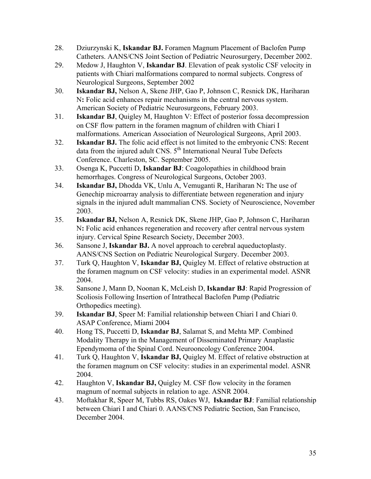- 28. Dziurzynski K, **Iskandar BJ.** Foramen Magnum Placement of Baclofen Pump Catheters. AANS/CNS Joint Section of Pediatric Neurosurgery, December 2002.
- 29. Medow J, Haughton V, **Iskandar BJ**. Elevation of peak systolic CSF velocity in patients with Chiari malformations compared to normal subjects. Congress of Neurological Surgeons, September 2002
- 30. **Iskandar BJ,** Nelson A, Skene JHP, Gao P, Johnson C, Resnick DK, Hariharan N**:** Folic acid enhances repair mechanisms in the central nervous system. American Society of Pediatric Neurosurgeons, February 2003.
- 31. **Iskandar BJ**, Quigley M, Haughton V: Effect of posterior fossa decompression on CSF flow pattern in the foramen magnum of children with Chiari I malformations. American Association of Neurological Surgeons, April 2003.
- 32. **Iskandar BJ.** The folic acid effect is not limited to the embryonic CNS: Recent data from the injured adult CNS. 5<sup>th</sup> International Neural Tube Defects Conference. Charleston, SC. September 2005.
- 33. Osenga K, Puccetti D, **Iskandar BJ**: Coagolopathies in childhood brain hemorrhages. Congress of Neurological Surgeons, October 2003.
- 34. **Iskandar BJ,** Dhodda VK, Unlu A, Vemuganti R, Hariharan N**:** The use of Genechip microarray analysis to differentiate between regeneration and injury signals in the injured adult mammalian CNS. Society of Neuroscience, November 2003.
- 35. **Iskandar BJ,** Nelson A, Resnick DK, Skene JHP, Gao P, Johnson C, Hariharan N**:** Folic acid enhances regeneration and recovery after central nervous system injury. Cervical Spine Research Society, December 2003.
- 36. Sansone J, **Iskandar BJ.** A novel approach to cerebral aqueductoplasty. AANS/CNS Section on Pediatric Neurological Surgery. December 2003.
- 37. Turk Q, Haughton V, **Iskandar BJ,** Quigley M. Effect of relative obstruction at the foramen magnum on CSF velocity: studies in an experimental model. ASNR 2004.
- 38. Sansone J, Mann D, Noonan K, McLeish D, **Iskandar BJ**: Rapid Progression of Scoliosis Following Insertion of Intrathecal Baclofen Pump (Pediatric Orthopedics meeting).
- 39. **Iskandar BJ**, Speer M: Familial relationship between Chiari I and Chiari 0. ASAP Conference, Miami 2004
- 40. Hong TS, Puccetti D, **Iskandar BJ**, Salamat S, and Mehta MP. Combined Modality Therapy in the Management of Disseminated Primary Anaplastic Ependymoma of the Spinal Cord. Neurooncology Conference 2004.
- 41. Turk Q, Haughton V, **Iskandar BJ,** Quigley M. Effect of relative obstruction at the foramen magnum on CSF velocity: studies in an experimental model. ASNR 2004.
- 42. Haughton V, **Iskandar BJ,** Quigley M. CSF flow velocity in the foramen magnum of normal subjects in relation to age. ASNR 2004.
- 43. Moftakhar R, Speer M, Tubbs RS, Oakes WJ, **Iskandar BJ**: Familial relationship between Chiari I and Chiari 0. AANS/CNS Pediatric Section, San Francisco, December 2004.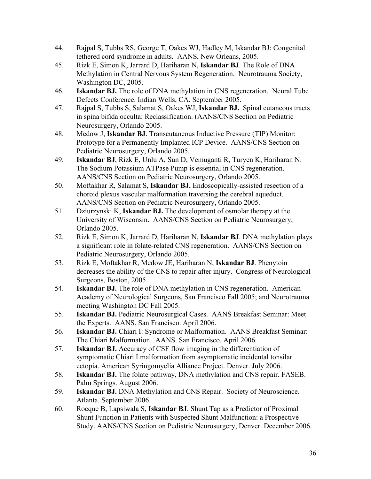- 44. Rajpal S, Tubbs RS, George T, Oakes WJ, Hadley M, Iskandar BJ: Congenital tethered cord syndrome in adults. AANS, New Orleans, 2005.
- 45. Rizk E, Simon K, Jarrard D, Hariharan N, **Iskandar BJ**. The Role of DNA Methylation in Central Nervous System Regeneration. Neurotrauma Society, Washington DC, 2005.
- 46. **Iskandar BJ.** The role of DNA methylation in CNS regeneration. Neural Tube Defects Conference. Indian Wells, CA. September 2005.
- 47. Rajpal S, Tubbs S, Salamat S, Oakes WJ, **Iskandar BJ.** Spinal cutaneous tracts in spina bifida occulta: Reclassification. (AANS/CNS Section on Pediatric Neurosurgery, Orlando 2005.
- 48. Medow J, **Iskandar BJ**. Transcutaneous Inductive Pressure (TIP) Monitor: Prototype for a Permanently Implanted ICP Device. AANS/CNS Section on Pediatric Neurosurgery, Orlando 2005.
- 49. **Iskandar BJ**, Rizk E, Unlu A, Sun D, Vemuganti R, Turyen K, Hariharan N. The Sodium Potassium ATPase Pump is essential in CNS regeneration. AANS/CNS Section on Pediatric Neurosurgery, Orlando 2005.
- 50. Moftakhar R, Salamat S, **Iskandar BJ.** Endoscopically-assisted resection of a choroid plexus vascular malformation traversing the cerebral aqueduct. AANS/CNS Section on Pediatric Neurosurgery, Orlando 2005.
- 51. Dziurzynski K, **Iskandar BJ.** The development of osmolar therapy at the University of Wisconsin. AANS/CNS Section on Pediatric Neurosurgery, Orlando 2005.
- 52. Rizk E, Simon K, Jarrard D, Hariharan N, **Iskandar BJ**. DNA methylation plays a significant role in folate-related CNS regeneration. AANS/CNS Section on Pediatric Neurosurgery, Orlando 2005.
- 53. Rizk E, Moftakhar R, Medow JE, Hariharan N, **Iskandar BJ**. Phenytoin decreases the ability of the CNS to repair after injury. Congress of Neurological Surgeons, Boston, 2005.
- 54. **Iskandar BJ.** The role of DNA methylation in CNS regeneration. American Academy of Neurological Surgeons, San Francisco Fall 2005; and Neurotrauma meeting Washington DC Fall 2005.
- 55. **Iskandar BJ.** Pediatric Neurosurgical Cases. AANS Breakfast Seminar: Meet the Experts. AANS. San Francisco. April 2006.
- 56. **Iskandar BJ.** Chiari I: Syndrome or Malformation. AANS Breakfast Seminar: The Chiari Malformation. AANS. San Francisco. April 2006.
- 57. **Iskandar BJ.** Accuracy of CSF flow imaging in the differentiation of symptomatic Chiari I malformation from asymptomatic incidental tonsilar ectopia. American Syringomyelia Alliance Project. Denver. July 2006.
- 58. **Iskandar BJ.** The folate pathway, DNA methylation and CNS repair. FASEB. Palm Springs. August 2006.
- 59. **Iskandar BJ.** DNA Methylation and CNS Repair. Society of Neuroscience. Atlanta. September 2006.
- 60. Rocque B, Lapsiwala S, **Iskandar BJ**. Shunt Tap as a Predictor of Proximal Shunt Function in Patients with Suspected Shunt Malfunction: a Prospective Study. AANS/CNS Section on Pediatric Neurosurgery, Denver. December 2006.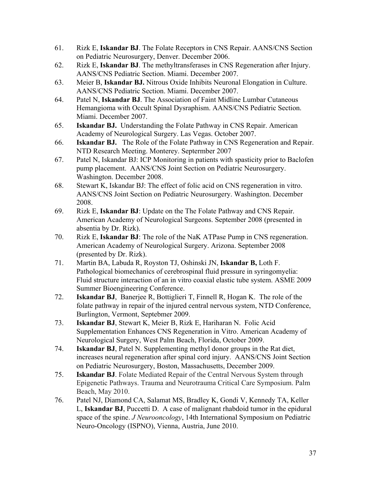- 61. Rizk E, **Iskandar BJ**. The Folate Receptors in CNS Repair. AANS/CNS Section on Pediatric Neurosurgery, Denver. December 2006.
- 62. Rizk E, **Iskandar BJ**. The methyltransferases in CNS Regeneration after Injury. AANS/CNS Pediatric Section. Miami. December 2007.
- 63. Meier B, **Iskandar BJ.** Nitrous Oxide Inhibits Neuronal Elongation in Culture. AANS/CNS Pediatric Section. Miami. December 2007.
- 64. Patel N, **Iskandar BJ**. The Association of Faint Midline Lumbar Cutaneous Hemangioma with Occult Spinal Dysraphism. AANS/CNS Pediatric Section. Miami. December 2007.
- 65. **Iskandar BJ.** Understanding the Folate Pathway in CNS Repair. American Academy of Neurological Surgery. Las Vegas. October 2007.
- 66. **Iskandar BJ.** The Role of the Folate Pathway in CNS Regeneration and Repair. NTD Research Meeting. Monterey. Septermber 2007
- 67. Patel N, Iskandar BJ: ICP Monitoring in patients with spasticity prior to Baclofen pump placement. AANS/CNS Joint Section on Pediatric Neurosurgery. Washington. December 2008.
- 68. Stewart K, Iskandar BJ: The effect of folic acid on CNS regeneration in vitro. AANS/CNS Joint Section on Pediatric Neurosurgery. Washington. December 2008.
- 69. Rizk E, **Iskandar BJ**: Update on the The Folate Pathway and CNS Repair. American Academy of Neurological Surgeons. September 2008 (presented in absentia by Dr. Rizk).
- 70. Rizk E, **Iskandar BJ**: The role of the NaK ATPase Pump in CNS regeneration. American Academy of Neurological Surgery. Arizona. September 2008 (presented by Dr. Rizk).
- 71. Martin BA, Labuda R, Royston TJ, Oshinski JN, **Iskandar B,** Loth F. Pathological biomechanics of cerebrospinal fluid pressure in syringomyelia: Fluid structure interaction of an in vitro coaxial elastic tube system. ASME 2009 Summer Bioengineering Conference.
- 72. **Iskandar BJ**, Banerjee R, Bottiglieri T, Finnell R, Hogan K. The role of the folate pathway in repair of the injured central nervous system, NTD Conference, Burlington, Vermont, Septebmer 2009.
- 73. **Iskandar BJ**, Stewart K, Meier B, Rizk E, Hariharan N. Folic Acid Supplementation Enhances CNS Regeneration in Vitro. American Academy of Neurological Surgery, West Palm Beach, Florida, October 2009.
- 74. **Iskandar BJ**, Patel N. Supplementing methyl donor groups in the Rat diet, increases neural regeneration after spinal cord injury. AANS/CNS Joint Section on Pediatric Neurosurgery, Boston, Massachusetts, December 2009.
- 75. **Iskandar BJ**. Folate Mediated Repair of the Central Nervous System through Epigenetic Pathways. Trauma and Neurotrauma Critical Care Symposium. Palm Beach, May 2010.
- 76. Patel NJ, Diamond CA, Salamat MS, Bradley K, Gondi V, Kennedy TA, Keller L, **Iskandar BJ**, Puccetti D. A case of malignant rhabdoid tumor in the epidural space of the spine. *J Neurooncology*, 14th International Symposium on Pediatric Neuro-Oncology (ISPNO), Vienna, Austria, June 2010.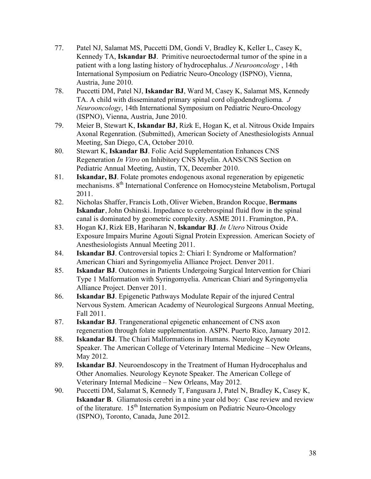- 77. Patel NJ, Salamat MS, Puccetti DM, Gondi V, Bradley K, Keller L, Casey K, Kennedy TA, **Iskandar BJ**. Primitive neuroectodermal tumor of the spine in a patient with a long lasting history of hydrocephalus. *J Neurooncology* , 14th International Symposium on Pediatric Neuro-Oncology (ISPNO), Vienna, Austria, June 2010.
- 78. Puccetti DM, Patel NJ, **Iskandar BJ**, Ward M, Casey K, Salamat MS, Kennedy TA. A child with disseminated primary spinal cord oligodendroglioma*. J Neurooncology*, 14th International Symposium on Pediatric Neuro-Oncology (ISPNO), Vienna, Austria, June 2010.
- 79. Meier B, Stewart K, **Iskandar BJ**, Rizk E, Hogan K, et al. Nitrous Oxide Impairs Axonal Regenration. (Submitted), American Society of Anesthesiologists Annual Meeting, San Diego, CA, October 2010.
- 80. Stewart K, **Iskandar BJ**. Folic Acid Supplementation Enhances CNS Regeneration *In Vitro* on Inhibitory CNS Myelin. AANS/CNS Section on Pediatric Annual Meeting, Austin, TX, December 2010.
- 81. **Iskandar, BJ**. Folate promotes endogenous axonal regeneration by epigenetic mechanisms. 8th International Conference on Homocysteine Metabolism, Portugal 2011.
- 82. Nicholas Shaffer, Francis Loth, Oliver Wieben, Brandon Rocque, **Bermans Iskandar**, John Oshinski. Impedance to cerebrospinal fluid flow in the spinal canal is dominated by geometric complexity. ASME 2011. Framington, PA.
- 83. Hogan KJ, Rizk EB, Hariharan N, **Iskandar BJ**. *In Utero* Nitrous Oxide Exposure Impairs Murine Agouti Signal Protein Expression. American Society of Anesthesiologists Annual Meeting 2011.
- 84. **Iskandar BJ**. Controversial topics 2: Chiari I: Syndrome or Malformation? American Chiari and Syringomyelia Alliance Project. Denver 2011.
- 85. **Iskandar BJ**. Outcomes in Patients Undergoing Surgical Intervention for Chiari Type 1 Malformation with Syringomyelia. American Chiari and Syringomyelia Alliance Project. Denver 2011.
- 86. **Iskandar BJ**. Epigenetic Pathways Modulate Repair of the injured Central Nervous System. American Academy of Neurological Surgeons Annual Meeting, Fall 2011.
- 87. **Iskandar BJ**. Trangenerational epigenetic enhancement of CNS axon regeneration through folate supplementation. ASPN. Puerto Rico, January 2012.
- 88. **Iskandar BJ**. The Chiari Malformations in Humans. Neurology Keynote Speaker. The American College of Veterinary Internal Medicine – New Orleans, May 2012.
- 89. **Iskandar BJ**. Neuroendoscopy in the Treatment of Human Hydrocephalus and Other Anomalies. Neurology Keynote Speaker. The American College of Veterinary Internal Medicine – New Orleans, May 2012.
- 90. Puccetti DM, Salamat S, Kennedy T, Fangusara J, Patel N, Bradley K, Casey K, **Iskandar B**. Gliamatosis cerebri in a nine year old boy: Case review and review of the literature. 15<sup>th</sup> Internation Symposium on Pediatric Neuro-Oncology (ISPNO), Toronto, Canada, June 2012.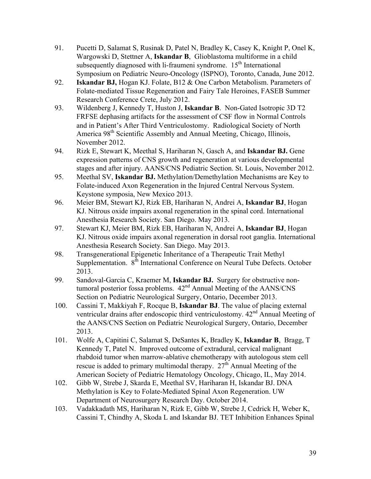- 91. Pucetti D, Salamat S, Rusinak D, Patel N, Bradley K, Casey K, Knight P, Onel K, Wargowski D, Stettner A, **Iskandar B**, Glioblastoma multiforme in a child subsequently diagnosed with li-fraumeni syndrome.  $15<sup>th</sup>$  International Symposium on Pediatric Neuro-Oncology (ISPNO), Toronto, Canada, June 2012.
- 92. **Iskandar BJ,** Hogan KJ. Folate, B12 & One Carbon Metabolism. Parameters of Folate-mediated Tissue Regeneration and Fairy Tale Heroines, FASEB Summer Research Conference Crete, July 2012.
- 93. Wildenberg J, Kennedy T, Huston J, **Iskandar B**. Non-Gated Isotropic 3D T2 FRFSE dephasing artifacts for the assessment of CSF flow in Normal Controls and in Patient's After Third Ventriculostomy. Radiological Society of North America 98<sup>th</sup> Scientific Assembly and Annual Meeting, Chicago, Illinois, November 2012.
- 94. Rizk E, Stewart K, Meethal S, Hariharan N, Gasch A, and **Iskandar BJ.** Gene expression patterns of CNS growth and regeneration at various developmental stages and after injury. AANS/CNS Pediatric Section. St. Louis, November 2012.
- 95. Meethal SV, **Iskandar BJ.** Methylation/Demethylation Mechanisms are Key to Folate-induced Axon Regeneration in the Injured Central Nervous System. Keystone symposia, New Mexico 2013.
- 96. Meier BM, Stewart KJ, Rizk EB, Hariharan N, Andrei A, **Iskandar BJ**, Hogan KJ. Nitrous oxide impairs axonal regeneration in the spinal cord. International Anesthesia Research Society. San Diego. May 2013.
- 97. Stewart KJ, Meier BM, Rizk EB, Hariharan N, Andrei A, **Iskandar BJ**, Hogan KJ. Nitrous oxide impairs axonal regeneration in dorsal root ganglia. International Anesthesia Research Society. San Diego. May 2013.
- 98. Transgenerational Epigenetic Inheritance of a Therapeutic Trait Methyl Supplementation. 8<sup>th</sup> International Conference on Neural Tube Defects. October 2013.
- 99. Sandoval-Garcia C, Kraemer M, **Iskandar BJ.** Surgery for obstructive nontumoral posterior fossa problems.  $42<sup>nd</sup>$  Annual Meeting of the AANS/CNS Section on Pediatric Neurological Surgery, Ontario, December 2013.
- 100. Cassini T, Makkiyah F, Rocque B, **Iskandar BJ**. The value of placing external ventricular drains after endoscopic third ventriculostomy.  $42<sup>nd</sup>$  Annual Meeting of the AANS/CNS Section on Pediatric Neurological Surgery, Ontario, December 2013.
- 101. Wolfe A, Capitini C, Salamat S, DeSantes K, Bradley K, **Iskandar B**, Bragg, T Kennedy T, Patel N. Improved outcome of extradural, cervical malignant rhabdoid tumor when marrow-ablative chemotherapy with autologous stem cell rescue is added to primary multimodal therapy.  $27<sup>th</sup>$  Annual Meeting of the American Society of Pediatric Hematology Oncology, Chicago, IL, May 2014.
- 102. Gibb W, Strebe J, Skarda E, Meethal SV, Hariharan H, Iskandar BJ. DNA Methylation is Key to Folate-Mediated Spinal Axon Regeneration. UW Department of Neurosurgery Research Day. October 2014.
- 103. Vadakkadath MS, Hariharan N, Rizk E, Gibb W, Strebe J, Cedrick H, Weber K, Cassini T, Chindhy A, Skoda L and Iskandar BJ. TET Inhibition Enhances Spinal